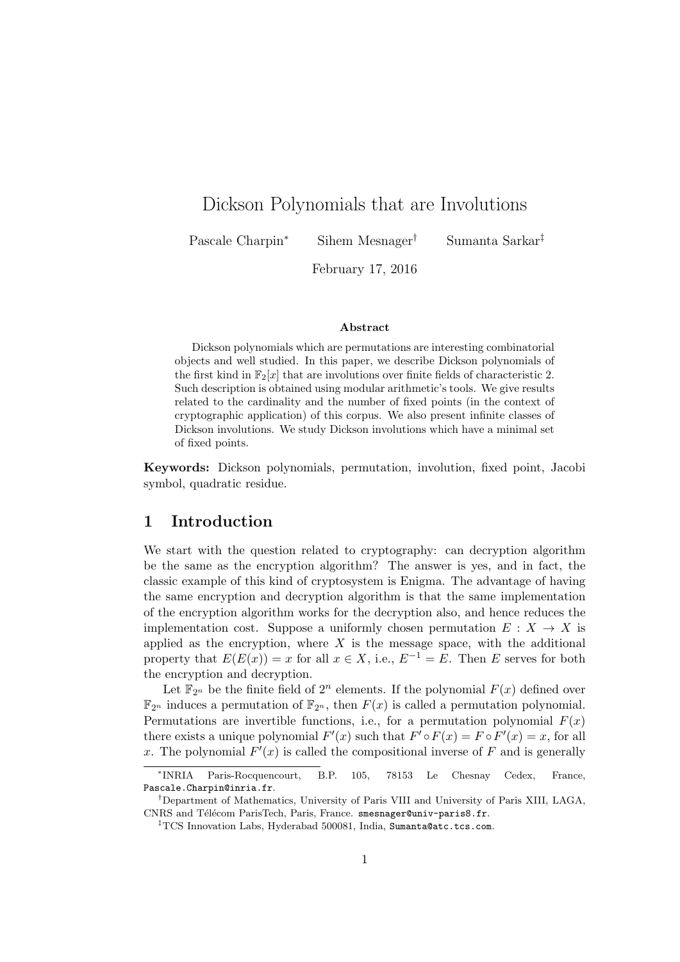# Dickson Polynomials that are Involutions

Pascale Charpin<sup>∗</sup> Sihem Mesnager† Sumanta Sarkar‡

February 17, 2016

#### Abstract

Dickson polynomials which are permutations are interesting combinatorial objects and well studied. In this paper, we describe Dickson polynomials of the first kind in  $\mathbb{F}_2[x]$  that are involutions over finite fields of characteristic 2. Such description is obtained using modular arithmetic's tools. We give results related to the cardinality and the number of fixed points (in the context of cryptographic application) of this corpus. We also present infinite classes of Dickson involutions. We study Dickson involutions which have a minimal set of fixed points.

Keywords: Dickson polynomials, permutation, involution, fixed point, Jacobi symbol, quadratic residue.

### 1 Introduction

We start with the question related to cryptography: can decryption algorithm be the same as the encryption algorithm? The answer is yes, and in fact, the classic example of this kind of cryptosystem is Enigma. The advantage of having the same encryption and decryption algorithm is that the same implementation of the encryption algorithm works for the decryption also, and hence reduces the implementation cost. Suppose a uniformly chosen permutation  $E: X \to X$  is applied as the encryption, where  $X$  is the message space, with the additional property that  $E(E(x)) = x$  for all  $x \in X$ , i.e.,  $E^{-1} = E$ . Then E serves for both the encryption and decryption.

Let  $\mathbb{F}_{2^n}$  be the finite field of  $2^n$  elements. If the polynomial  $F(x)$  defined over  $\mathbb{F}_{2^n}$  induces a permutation of  $\mathbb{F}_{2^n}$ , then  $F(x)$  is called a permutation polynomial. Permutations are invertible functions, i.e., for a permutation polynomial  $F(x)$ there exists a unique polynomial  $F'(x)$  such that  $F' \circ F(x) = F \circ F'(x) = x$ , for all x. The polynomial  $F'(x)$  is called the compositional inverse of F and is generally

<sup>∗</sup> INRIA Paris-Rocquencourt, B.P. 105, 78153 Le Chesnay Cedex, France, Pascale.Charpin@inria.fr.

<sup>†</sup>Department of Mathematics, University of Paris VIII and University of Paris XIII, LAGA, CNRS and Télécom ParisTech, Paris, France. smesnager@univ-paris8.fr.

<sup>‡</sup>TCS Innovation Labs, Hyderabad 500081, India, Sumanta@atc.tcs.com.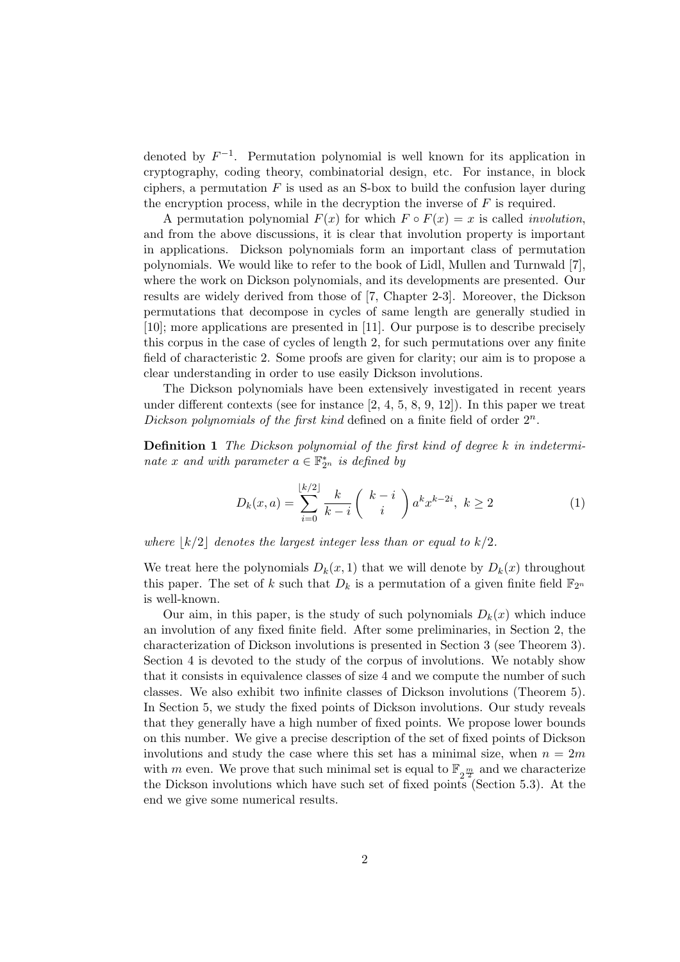denoted by  $F^{-1}$ . Permutation polynomial is well known for its application in cryptography, coding theory, combinatorial design, etc. For instance, in block ciphers, a permutation  $F$  is used as an S-box to build the confusion layer during the encryption process, while in the decryption the inverse of  $F$  is required.

A permutation polynomial  $F(x)$  for which  $F \circ F(x) = x$  is called *involution*, and from the above discussions, it is clear that involution property is important in applications. Dickson polynomials form an important class of permutation polynomials. We would like to refer to the book of Lidl, Mullen and Turnwald [7], where the work on Dickson polynomials, and its developments are presented. Our results are widely derived from those of [7, Chapter 2-3]. Moreover, the Dickson permutations that decompose in cycles of same length are generally studied in [10]; more applications are presented in [11]. Our purpose is to describe precisely this corpus in the case of cycles of length 2, for such permutations over any finite field of characteristic 2. Some proofs are given for clarity; our aim is to propose a clear understanding in order to use easily Dickson involutions.

The Dickson polynomials have been extensively investigated in recent years under different contexts (see for instance  $[2, 4, 5, 8, 9, 12]$ ). In this paper we treat Dickson polynomials of the first kind defined on a finite field of order  $2^n$ .

Definition 1 The Dickson polynomial of the first kind of degree k in indeterminate x and with parameter  $a \in \mathbb{F}_{2^n}^*$  is defined by

$$
D_k(x, a) = \sum_{i=0}^{\lfloor k/2 \rfloor} \frac{k}{k-i} \binom{k-i}{i} a^k x^{k-2i}, \ k \ge 2 \tag{1}
$$

where  $|k/2|$  denotes the largest integer less than or equal to  $k/2$ .

We treat here the polynomials  $D_k(x, 1)$  that we will denote by  $D_k(x)$  throughout this paper. The set of k such that  $D_k$  is a permutation of a given finite field  $\mathbb{F}_{2^n}$ is well-known.

Our aim, in this paper, is the study of such polynomials  $D_k(x)$  which induce an involution of any fixed finite field. After some preliminaries, in Section 2, the characterization of Dickson involutions is presented in Section 3 (see Theorem 3). Section 4 is devoted to the study of the corpus of involutions. We notably show that it consists in equivalence classes of size 4 and we compute the number of such classes. We also exhibit two infinite classes of Dickson involutions (Theorem 5). In Section 5, we study the fixed points of Dickson involutions. Our study reveals that they generally have a high number of fixed points. We propose lower bounds on this number. We give a precise description of the set of fixed points of Dickson involutions and study the case where this set has a minimal size, when  $n = 2m$ with m even. We prove that such minimal set is equal to  $\mathbb{F}_{2\frac{m}{2}}$  and we characterize the Dickson involutions which have such set of fixed points (Section 5.3). At the end we give some numerical results.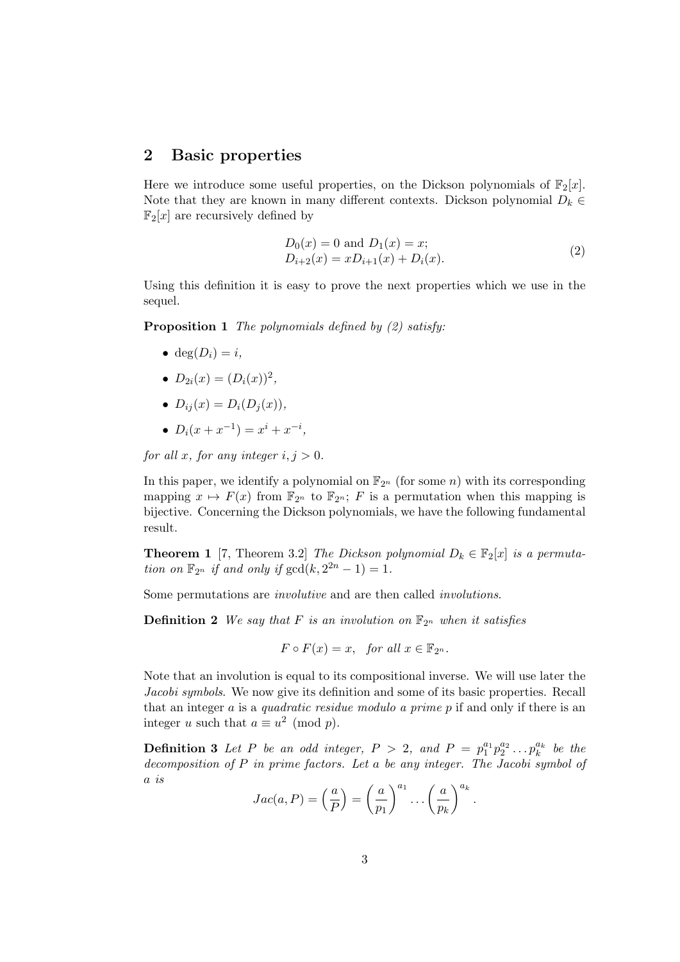### 2 Basic properties

Here we introduce some useful properties, on the Dickson polynomials of  $\mathbb{F}_2[x]$ . Note that they are known in many different contexts. Dickson polynomial  $D_k \in$  $\mathbb{F}_2[x]$  are recursively defined by

$$
D_0(x) = 0 \text{ and } D_1(x) = x;
$$
  
\n
$$
D_{i+2}(x) = x D_{i+1}(x) + D_i(x).
$$
\n(2)

Using this definition it is easy to prove the next properties which we use in the sequel.

**Proposition 1** The polynomials defined by  $(2)$  satisfy:

- deg $(D_i) = i$ ,
- $D_{2i}(x) = (D_i(x))^2$ ,
- $D_{ij}(x) = D_i(D_j(x)),$
- $D_i(x + x^{-1}) = x^i + x^{-i}$ ,

for all x, for any integer  $i, j > 0$ .

In this paper, we identify a polynomial on  $\mathbb{F}_{2^n}$  (for some *n*) with its corresponding mapping  $x \mapsto F(x)$  from  $\mathbb{F}_{2^n}$  to  $\mathbb{F}_{2^n}$ ; F is a permutation when this mapping is bijective. Concerning the Dickson polynomials, we have the following fundamental result.

**Theorem 1** [7, Theorem 3.2] The Dickson polynomial  $D_k \in \mathbb{F}_2[x]$  is a permutation on  $\mathbb{F}_{2^n}$  if and only if  $gcd(k, 2^{2n} - 1) = 1$ .

Some permutations are involutive and are then called involutions.

**Definition 2** We say that F is an involution on  $\mathbb{F}_{2^n}$  when it satisfies

$$
F \circ F(x) = x, \text{ for all } x \in \mathbb{F}_{2^n}.
$$

Note that an involution is equal to its compositional inverse. We will use later the Jacobi symbols. We now give its definition and some of its basic properties. Recall that an integer a is a quadratic residue modulo a prime p if and only if there is an integer u such that  $a \equiv u^2 \pmod{p}$ .

**Definition 3** Let P be an odd integer,  $P > 2$ , and  $P = p_1^{a_1} p_2^{a_2} \ldots p_k^{a_k}$  be the decomposition of P in prime factors. Let a be any integer. The Jacobi symbol of a is

$$
Jac(a, P) = \left(\frac{a}{P}\right) = \left(\frac{a}{p_1}\right)^{a_1} \dots \left(\frac{a}{p_k}\right)^{a_k}
$$

.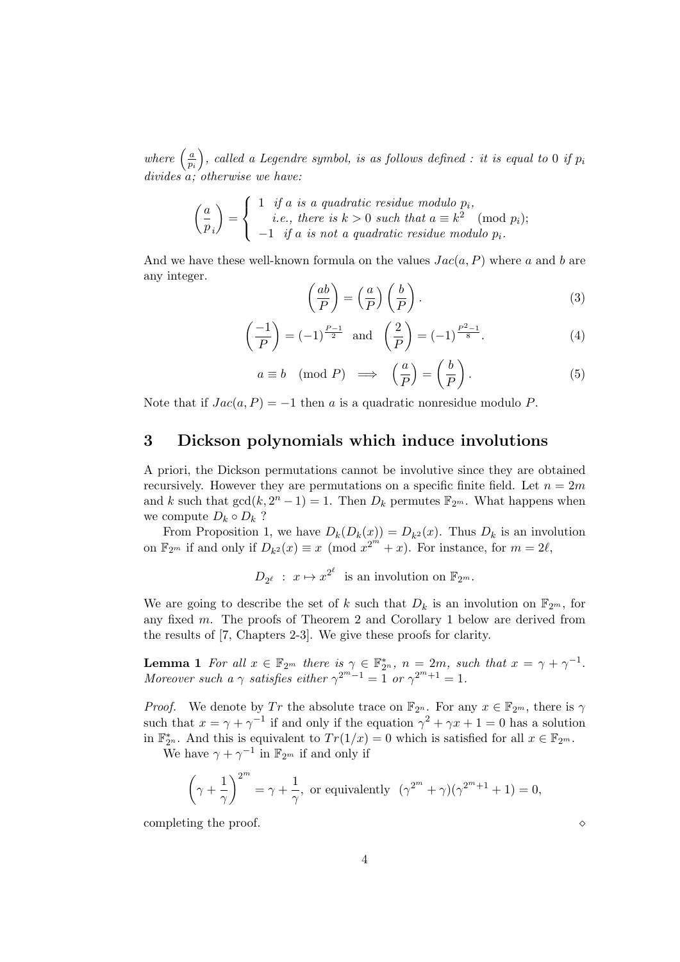where  $\left(\frac{a}{n}\right)$ pi ), called a Legendre symbol, is as follows defined : it is equal to 0 if  $p_i$ divides a; otherwise we have:

$$
\begin{pmatrix} a \\ p_i \end{pmatrix} = \begin{cases} 1 & \text{if } a \text{ is a quadratic residue modulo } p_i, \\ i.e., \text{ there is } k > 0 \text{ such that } a \equiv k^2 \pmod{p_i}; \\ -1 & \text{if } a \text{ is not a quadratic residue modulo } p_i. \end{cases}
$$

And we have these well-known formula on the values  $Jac(a, P)$  where a and b are any integer.

$$
\left(\frac{ab}{P}\right) = \left(\frac{a}{P}\right)\left(\frac{b}{P}\right). \tag{3}
$$

$$
\left(\frac{-1}{P}\right) = (-1)^{\frac{P-1}{2}} \text{ and } \left(\frac{2}{P}\right) = (-1)^{\frac{P^2-1}{8}}.
$$
 (4)

$$
a \equiv b \pmod{P} \implies \left(\frac{a}{P}\right) = \left(\frac{b}{P}\right). \tag{5}
$$

Note that if  $Jac(a, P) = -1$  then a is a quadratic nonresidue modulo P.

### 3 Dickson polynomials which induce involutions

A priori, the Dickson permutations cannot be involutive since they are obtained recursively. However they are permutations on a specific finite field. Let  $n = 2m$ and k such that  $gcd(k, 2<sup>n</sup> - 1) = 1$ . Then  $D_k$  permutes  $\mathbb{F}_{2<sup>m</sup>}$ . What happens when we compute  $D_k \circ D_k$  ?

From Proposition 1, we have  $D_k(D_k(x)) = D_{k^2}(x)$ . Thus  $D_k$  is an involution on  $\mathbb{F}_{2^m}$  if and only if  $D_{k^2}(x) \equiv x \pmod{x^{2^m}+x}$ . For instance, for  $m=2\ell$ ,

 $D_{2^{\ell}} : x \mapsto x^{2^{\ell}}$  is an involution on  $\mathbb{F}_{2^m}$ .

We are going to describe the set of k such that  $D_k$  is an involution on  $\mathbb{F}_{2^m}$ , for any fixed m. The proofs of Theorem 2 and Corollary 1 below are derived from the results of [7, Chapters 2-3]. We give these proofs for clarity.

**Lemma 1** For all  $x \in \mathbb{F}_{2^m}$  there is  $\gamma \in \mathbb{F}_{2^n}^*$ ,  $n = 2m$ , such that  $x = \gamma + \gamma^{-1}$ . Moreover such a  $\gamma$  satisfies either  $\gamma^{2^m-1} = 1$  or  $\gamma^{2^m+1} = 1$ .

*Proof.* We denote by Tr the absolute trace on  $\mathbb{F}_{2^n}$ . For any  $x \in \mathbb{F}_{2^m}$ , there is  $\gamma$ such that  $x = \gamma + \gamma^{-1}$  if and only if the equation  $\gamma^2 + \gamma x + 1 = 0$  has a solution in  $\mathbb{F}_{2^n}^*$ . And this is equivalent to  $Tr(1/x) = 0$  which is satisfied for all  $x \in \mathbb{F}_{2^m}$ .

We have  $\gamma + \gamma^{-1}$  in  $\mathbb{F}_{2^m}$  if and only if

$$
\left(\gamma + \frac{1}{\gamma}\right)^{2^m} = \gamma + \frac{1}{\gamma}, \text{ or equivalently } (\gamma^{2^m} + \gamma)(\gamma^{2^m+1} + 1) = 0,
$$

completing the proof.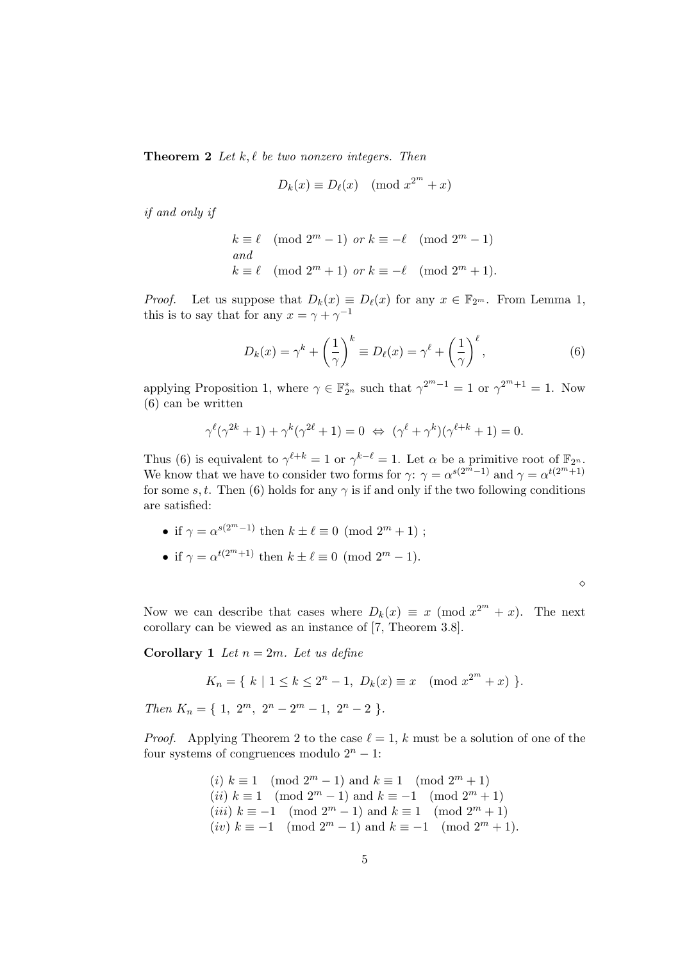**Theorem 2** Let  $k, \ell$  be two nonzero integers. Then

$$
D_k(x) \equiv D_\ell(x) \pmod{x^{2^m} + x}
$$

if and only if

$$
k \equiv \ell \pmod{2^m - 1} \text{ or } k \equiv -\ell \pmod{2^m - 1}
$$
  
and  

$$
k \equiv \ell \pmod{2^m + 1} \text{ or } k \equiv -\ell \pmod{2^m + 1}.
$$

*Proof.* Let us suppose that  $D_k(x) \equiv D_\ell(x)$  for any  $x \in \mathbb{F}_{2^m}$ . From Lemma 1, this is to say that for any  $x = \gamma + \gamma^{-1}$ 

$$
D_k(x) = \gamma^k + \left(\frac{1}{\gamma}\right)^k \equiv D_\ell(x) = \gamma^\ell + \left(\frac{1}{\gamma}\right)^\ell, \tag{6}
$$

applying Proposition 1, where  $\gamma \in \mathbb{F}_{2^n}^*$  such that  $\gamma^{2^m-1} = 1$  or  $\gamma^{2^m+1} = 1$ . Now (6) can be written

$$
\gamma^{\ell}(\gamma^{2k}+1) + \gamma^{k}(\gamma^{2\ell}+1) = 0 \Leftrightarrow (\gamma^{\ell}+\gamma^{k})(\gamma^{\ell+k}+1) = 0.
$$

Thus (6) is equivalent to  $\gamma^{\ell+k} = 1$  or  $\gamma^{k-\ell} = 1$ . Let  $\alpha$  be a primitive root of  $\mathbb{F}_{2^n}$ . We know that we have to consider two forms for  $\gamma: \gamma = \alpha^{s(2^m-1)}$  and  $\gamma = \alpha^{t(2^m+1)}$ for some s, t. Then (6) holds for any  $\gamma$  is if and only if the two following conditions are satisfied:

- if  $\gamma = \alpha^{s(2^m-1)}$  then  $k \pm \ell \equiv 0 \pmod{2^m+1}$ ;
- if  $\gamma = \alpha^{t(2^m+1)}$  then  $k \pm \ell \equiv 0 \pmod{2^m 1}$ .

 $\Diamond$ 

Now we can describe that cases where  $D_k(x) \equiv x \pmod{x^{2^m} + x}$ . The next corollary can be viewed as an instance of [7, Theorem 3.8].

**Corollary 1** Let  $n = 2m$ . Let us define

$$
K_n = \{ k \mid 1 \le k \le 2^n - 1, \ D_k(x) \equiv x \pmod{x^{2^m} + x} \}.
$$

Then  $K_n = \{ 1, 2^m, 2^n - 2^m - 1, 2^n - 2 \}.$ 

*Proof.* Applying Theorem 2 to the case  $\ell = 1, k$  must be a solution of one of the four systems of congruences modulo  $2^n - 1$ :

(i) 
$$
k \equiv 1 \pmod{2^m - 1}
$$
 and  $k \equiv 1 \pmod{2^m + 1}$  (ii)  $k \equiv 1 \pmod{2^m - 1}$  and  $k \equiv -1 \pmod{2^m + 1}$  (iii)  $k \equiv -1 \pmod{2^m - 1}$  and  $k \equiv 1 \pmod{2^m + 1}$  (iv)  $k \equiv -1 \pmod{2^m - 1}$  and  $k \equiv -1 \pmod{2^m + 1}$ ).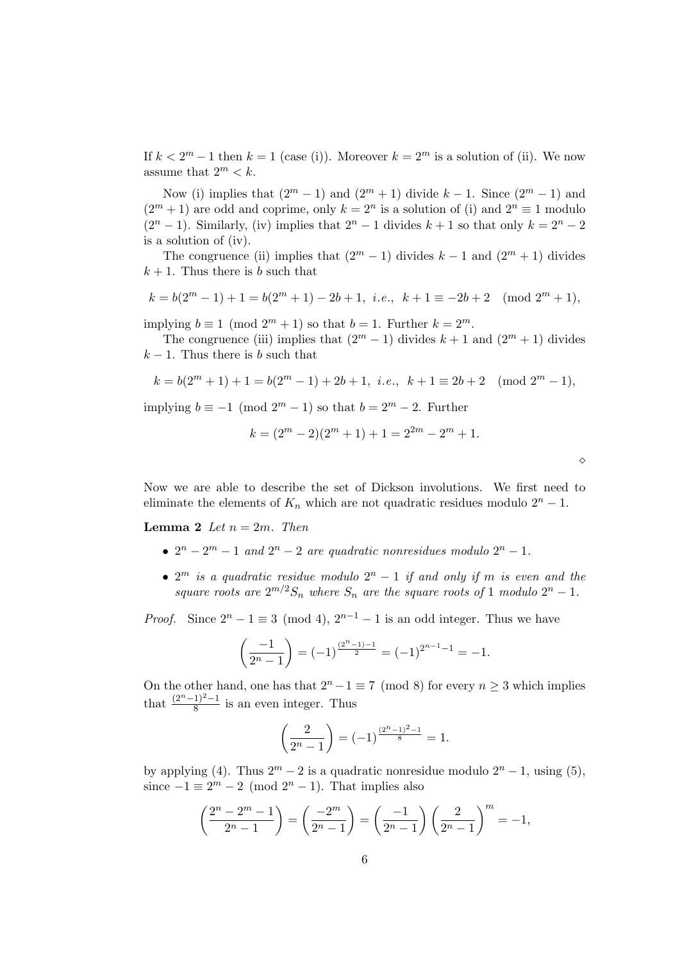If  $k < 2^m - 1$  then  $k = 1$  (case (i)). Moreover  $k = 2^m$  is a solution of (ii). We now assume that  $2^m < k$ .

Now (i) implies that  $(2^m - 1)$  and  $(2^m + 1)$  divide  $k - 1$ . Since  $(2^m - 1)$  and  $(2<sup>m</sup>+1)$  are odd and coprime, only  $k = 2<sup>n</sup>$  is a solution of (i) and  $2<sup>n</sup> \equiv 1$  modulo  $(2<sup>n</sup> - 1)$ . Similarly, (iv) implies that  $2<sup>n</sup> - 1$  divides  $k + 1$  so that only  $k = 2<sup>n</sup> - 2$ is a solution of (iv).

The congruence (ii) implies that  $(2^m - 1)$  divides  $k - 1$  and  $(2^m + 1)$  divides  $k + 1$ . Thus there is b such that

$$
k = b(2m - 1) + 1 = b(2m + 1) - 2b + 1, i.e., k + 1 \equiv -2b + 2 \pmod{2m + 1},
$$

implying  $b \equiv 1 \pmod{2^m + 1}$  so that  $b = 1$ . Further  $k = 2^m$ .

The congruence (iii) implies that  $(2^m - 1)$  divides  $k + 1$  and  $(2^m + 1)$  divides  $k-1$ . Thus there is b such that

$$
k=b(2^m+1)+1=b(2^m-1)+2b+1,\ i.e., \ k+1\equiv 2b+2 \pmod{2^m-1},
$$

implying  $b \equiv -1 \pmod{2^m - 1}$  so that  $b = 2^m - 2$ . Further

$$
k = (2m - 2)(2m + 1) + 1 = 22m - 2m + 1.
$$

♦

Now we are able to describe the set of Dickson involutions. We first need to eliminate the elements of  $K_n$  which are not quadratic residues modulo  $2^n - 1$ .

**Lemma 2** Let  $n = 2m$ . Then

- $2^n 2^m 1$  and  $2^n 2$  are quadratic nonresidues modulo  $2^n 1$ .
- $2^m$  is a quadratic residue modulo  $2^n 1$  if and only if m is even and the square roots are  $2^{m/2}S_n$  where  $S_n$  are the square roots of 1 modulo  $2^n - 1$ .

*Proof.* Since  $2^{n} - 1 \equiv 3 \pmod{4}$ ,  $2^{n-1} - 1$  is an odd integer. Thus we have

$$
\left(\frac{-1}{2^{n}-1}\right) = (-1)^{\frac{(2^{n}-1)-1}{2}} = (-1)^{2^{n-1}-1} = -1.
$$

On the other hand, one has that  $2^{n} - 1 \equiv 7 \pmod{8}$  for every  $n \ge 3$  which implies that  $\frac{(2^{n}-1)^{2}-1}{8}$  is an even integer. Thus

$$
\left(\frac{2}{2^{n}-1}\right) = (-1)^{\frac{(2^{n}-1)^{2}-1}{8}} = 1.
$$

by applying (4). Thus  $2^m - 2$  is a quadratic nonresidue modulo  $2^n - 1$ , using (5), since  $-1 \equiv 2^m - 2 \pmod{2^n - 1}$ . That implies also

$$
\left(\frac{2^n - 2^m - 1}{2^n - 1}\right) = \left(\frac{-2^m}{2^n - 1}\right) = \left(\frac{-1}{2^n - 1}\right)\left(\frac{2}{2^n - 1}\right)^m = -1,
$$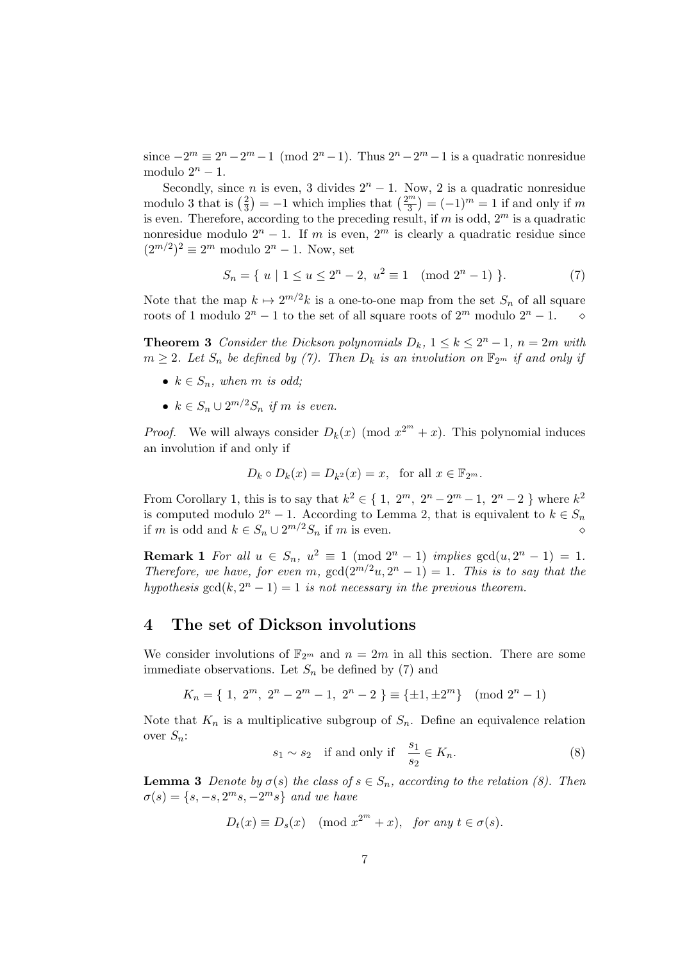since  $-2^m \equiv 2^n - 2^m - 1 \pmod{2^n - 1}$ . Thus  $2^n - 2^m - 1$  is a quadratic nonresidue modulo  $2^n - 1$ .

Secondly, since *n* is even, 3 divides  $2<sup>n</sup> - 1$ . Now, 2 is a quadratic nonresidue modulo 3 that is  $\left(\frac{2}{3}\right)$  $\left(\frac{2}{3}\right) = -1$  which implies that  $\left(\frac{2^m}{3}\right)$  $\binom{m}{3} = (-1)^m = 1$  if and only if m is even. Therefore, according to the preceding result, if m is odd,  $2^m$  is a quadratic nonresidue modulo  $2^n - 1$ . If m is even,  $2^m$  is clearly a quadratic residue since  $(2^{m/2})^2 \equiv 2^m$  modulo  $2^n - 1$ . Now, set

$$
S_n = \{ u \mid 1 \le u \le 2^n - 2, u^2 \equiv 1 \pmod{2^n - 1} \}.
$$
 (7)

Note that the map  $k \mapsto 2^{m/2}k$  is a one-to-one map from the set  $S_n$  of all square roots of 1 modulo  $2^n - 1$  to the set of all square roots of  $2^m$  modulo  $2^n - 1$ .

**Theorem 3** Consider the Dickson polynomials  $D_k$ ,  $1 \le k \le 2^n - 1$ ,  $n = 2m$  with  $m \geq 2$ . Let  $S_n$  be defined by (7). Then  $D_k$  is an involution on  $\mathbb{F}_{2^m}$  if and only if

- $k \in S_n$ , when m is odd;
- $k \in S_n \cup 2^{m/2}S_n$  if m is even.

*Proof.* We will always consider  $D_k(x) \pmod{x^{2^m}+x}$ . This polynomial induces an involution if and only if

$$
D_k \circ D_k(x) = D_{k^2}(x) = x, \text{ for all } x \in \mathbb{F}_{2^m}.
$$

From Corollary 1, this is to say that  $k^2 \in \{1, 2^m, 2^n - 2^m - 1, 2^n - 2\}$  where  $k^2$ is computed modulo  $2^n - 1$ . According to Lemma 2, that is equivalent to  $k \in S_n$ if m is odd and  $k \in S_n \cup 2^{m/2}S_n$  if m is even.

**Remark 1** For all  $u \in S_n$ ,  $u^2 \equiv 1 \pmod{2^n - 1}$  implies  $gcd(u, 2^n - 1) = 1$ . Therefore, we have, for even m,  $gcd(2^{m/2}u, 2^n - 1) = 1$ . This is to say that the hypothesis  $gcd(k, 2<sup>n</sup> - 1) = 1$  is not necessary in the previous theorem.

#### 4 The set of Dickson involutions

We consider involutions of  $\mathbb{F}_{2^m}$  and  $n = 2m$  in all this section. There are some immediate observations. Let  $S_n$  be defined by (7) and

$$
K_n = \{ 1, 2^m, 2^n - 2^m - 1, 2^n - 2 \} \equiv \{ \pm 1, \pm 2^m \} \pmod{2^n - 1}
$$

Note that  $K_n$  is a multiplicative subgroup of  $S_n$ . Define an equivalence relation over  $S_n$ :

$$
s_1 \sim s_2 \quad \text{if and only if} \quad \frac{s_1}{s_2} \in K_n. \tag{8}
$$

**Lemma 3** Denote by  $\sigma(s)$  the class of  $s \in S_n$ , according to the relation (8). Then  $\sigma(s) = \{s, -s, 2^m s, -2^m s\}$  and we have

$$
D_t(x) \equiv D_s(x) \pmod{x^{2^m} + x}, \text{ for any } t \in \sigma(s).
$$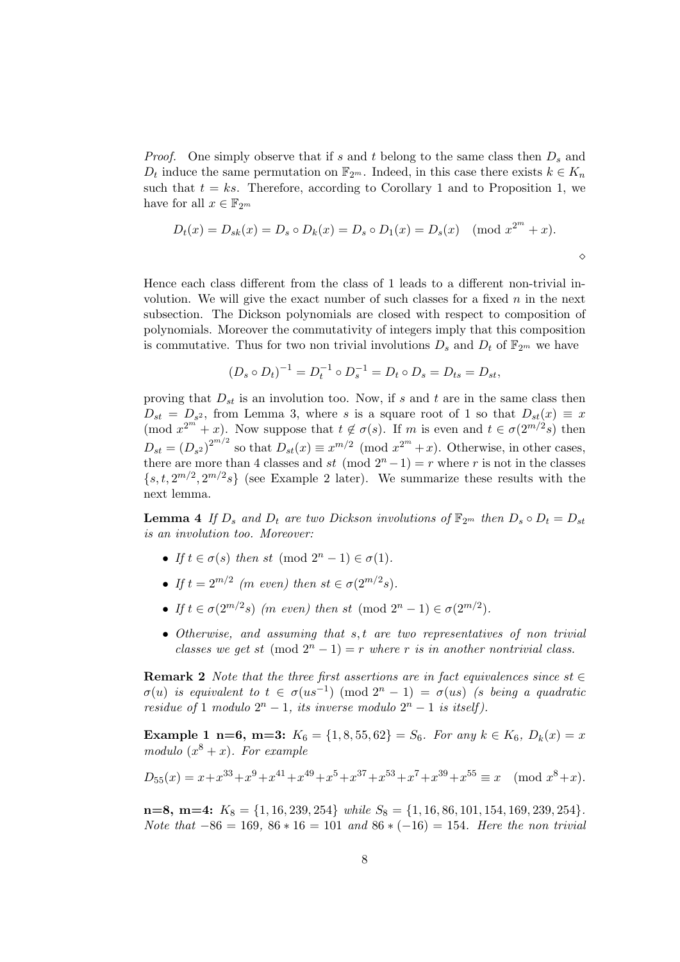*Proof.* One simply observe that if s and t belong to the same class then  $D_s$  and  $D_t$  induce the same permutation on  $\mathbb{F}_{2^m}$ . Indeed, in this case there exists  $k \in K_n$ such that  $t = ks$ . Therefore, according to Corollary 1 and to Proposition 1, we have for all  $x \in \mathbb{F}_{2^m}$ 

$$
D_t(x) = D_{sk}(x) = D_s \circ D_k(x) = D_s \circ D_1(x) = D_s(x) \pmod{x^{2^m} + x}.
$$

 $\Diamond$ 

Hence each class different from the class of 1 leads to a different non-trivial involution. We will give the exact number of such classes for a fixed  $n$  in the next subsection. The Dickson polynomials are closed with respect to composition of polynomials. Moreover the commutativity of integers imply that this composition is commutative. Thus for two non trivial involutions  $D_s$  and  $D_t$  of  $\mathbb{F}_{2^m}$  we have

$$
(D_s \circ D_t)^{-1} = D_t^{-1} \circ D_s^{-1} = D_t \circ D_s = D_{ts} = D_{st},
$$

proving that  $D_{st}$  is an involution too. Now, if s and t are in the same class then  $D_{st} = D_{s^2}$ , from Lemma 3, where s is a square root of 1 so that  $D_{st}(x) \equiv x$  $p(\text{mod } x^{2^m} + x)$ . Now suppose that  $t \notin \sigma(s)$ . If m is even and  $t \in \sigma(2^{m/2}s)$  then  $D_{st} = (D_{s^2})^{2^{m/2}}$  so that  $D_{st}(x) \equiv x^{m/2} \pmod{x^{2^m}+x}$ . Otherwise, in other cases, there are more than 4 classes and st (mod  $2^{n}-1$ ) = r where r is not in the classes  $\{s, t, 2^{m/2}, 2^{m/2}s\}$  (see Example 2 later). We summarize these results with the next lemma.

**Lemma 4** If  $D_s$  and  $D_t$  are two Dickson involutions of  $\mathbb{F}_{2^m}$  then  $D_s \circ D_t = D_{st}$ is an involution too. Moreover:

- If  $t \in \sigma(s)$  then st (mod  $2^n 1 \in \sigma(1)$ .
- If  $t = 2^{m/2}$  (m even) then  $st \in \sigma(2^{m/2}s)$ .
- If  $t \in \sigma(2^{m/2}s)$  (m even) then st (mod  $2^n 1 \in \sigma(2^{m/2})$ .
- $\bullet$  Otherwise, and assuming that  $s, t$  are two representatives of non trivial classes we get st  $(\text{mod } 2^n - 1) = r$  where r is in another nontrivial class.

**Remark 2** Note that the three first assertions are in fact equivalences since st  $\in$  $\sigma(u)$  is equivalent to  $t \in \sigma(us^{-1}) \pmod{2^n-1} = \sigma(us)$  (s being a quadratic residue of 1 modulo  $2^n - 1$ , its inverse modulo  $2^n - 1$  is itself).

Example 1 n=6, m=3:  $K_6 = \{1, 8, 55, 62\} = S_6$ . For any  $k \in K_6$ ,  $D_k(x) = x$ modulo  $(x^8 + x)$ . For example

$$
D_{55}(x) = x + x^{33} + x^9 + x^{41} + x^{49} + x^5 + x^{37} + x^{53} + x^7 + x^{39} + x^{55} \equiv x \pmod{x^8 + x}.
$$

 $n=8$ ,  $m=4$ :  $K_8 = \{1, 16, 239, 254\}$  while  $S_8 = \{1, 16, 86, 101, 154, 169, 239, 254\}.$ Note that  $-86 = 169$ ,  $86 * 16 = 101$  and  $86 * (-16) = 154$ . Here the non trivial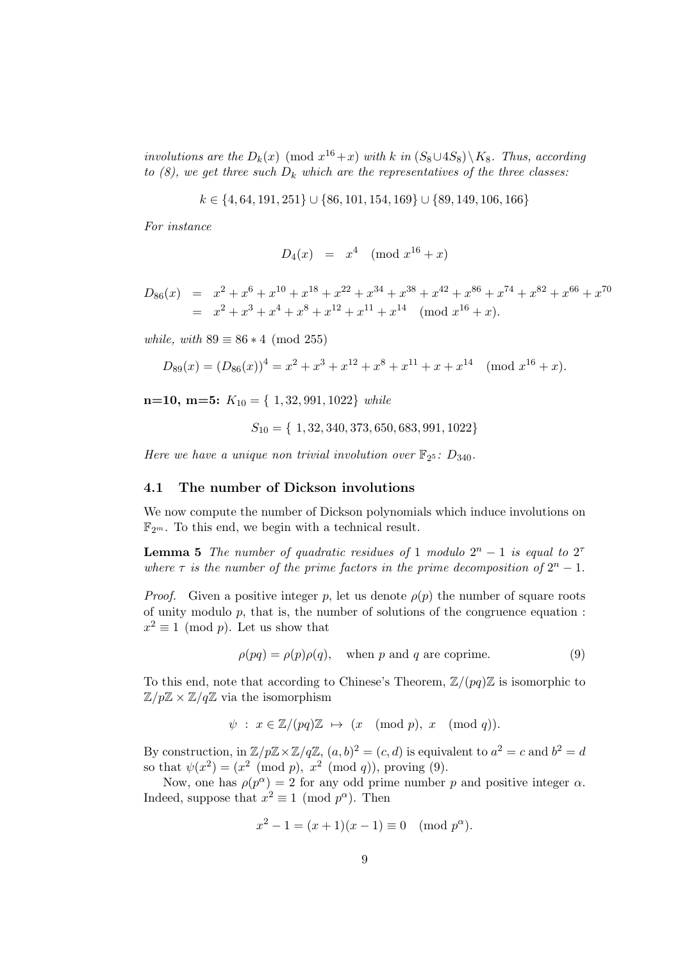involutions are the  $D_k(x) \pmod{x^{16}+x}$  with k in  $(S_8 \cup 4S_8) \setminus K_8$ . Thus, according to  $(8)$ , we get three such  $D_k$  which are the representatives of the three classes:

$$
k \in \{4, 64, 191, 251\} \cup \{86, 101, 154, 169\} \cup \{89, 149, 106, 166\}
$$

For instance

$$
D_4(x) = x^4 \pmod{x^{16} + x}
$$

$$
D_{86}(x) = x^2 + x^6 + x^{10} + x^{18} + x^{22} + x^{34} + x^{38} + x^{42} + x^{86} + x^{74} + x^{82} + x^{66} + x^{70}
$$
  
=  $x^2 + x^3 + x^4 + x^8 + x^{12} + x^{11} + x^{14}$  (mod  $x^{16} + x$ ).

while, with  $89 \equiv 86 * 4 \pmod{255}$ 

$$
D_{89}(x) = (D_{86}(x))^4 = x^2 + x^3 + x^{12} + x^8 + x^{11} + x + x^{14} \pmod{x^{16} + x}.
$$

n=10, m=5:  $K_{10} = \{ 1, 32, 991, 1022 \}$  while

$$
S_{10} = \{ 1, 32, 340, 373, 650, 683, 991, 1022 \}
$$

Here we have a unique non trivial involution over  $\mathbb{F}_{2^5}$ :  $D_{340}$ .

#### 4.1 The number of Dickson involutions

We now compute the number of Dickson polynomials which induce involutions on  $\mathbb{F}_{2^m}$ . To this end, we begin with a technical result.

**Lemma 5** The number of quadratic residues of 1 modulo  $2^n - 1$  is equal to  $2^7$ where  $\tau$  is the number of the prime factors in the prime decomposition of  $2^{n} - 1$ .

*Proof.* Given a positive integer p, let us denote  $\rho(p)$  the number of square roots of unity modulo p, that is, the number of solutions of the congruence equation :  $x^2 \equiv 1 \pmod{p}$ . Let us show that

$$
\rho(pq) = \rho(p)\rho(q), \quad \text{when } p \text{ and } q \text{ are coprime.} \tag{9}
$$

To this end, note that according to Chinese's Theorem,  $\mathbb{Z}/(pq)\mathbb{Z}$  is isomorphic to  $\mathbb{Z}/p\mathbb{Z} \times \mathbb{Z}/q\mathbb{Z}$  via the isomorphism

$$
\psi : x \in \mathbb{Z}/(pq)\mathbb{Z} \mapsto (x \pmod{p}, x \pmod{q}).
$$

By construction, in  $\mathbb{Z}/p\mathbb{Z} \times \mathbb{Z}/q\mathbb{Z}$ ,  $(a, b)^2 = (c, d)$  is equivalent to  $a^2 = c$  and  $b^2 = d$ so that  $\psi(x^2) = (x^2 \pmod{p}, x^2 \pmod{q})$ , proving (9).

Now, one has  $\rho(p^{\alpha}) = 2$  for any odd prime number p and positive integer  $\alpha$ . Indeed, suppose that  $x^2 \equiv 1 \pmod{p^{\alpha}}$ . Then

$$
x^2 - 1 = (x+1)(x-1) \equiv 0 \pmod{p^{\alpha}}.
$$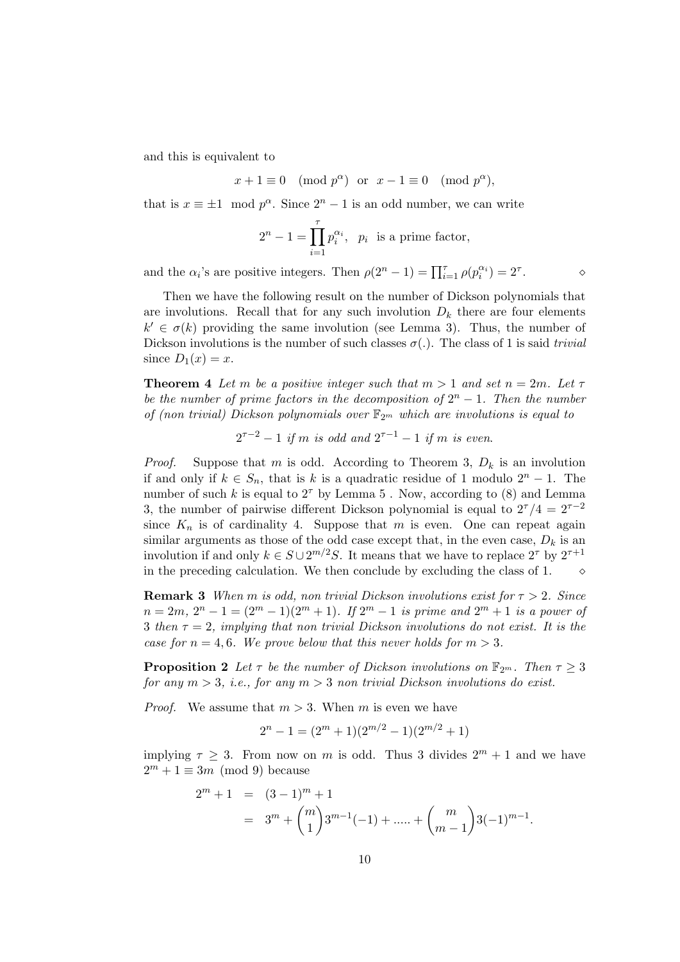and this is equivalent to

$$
x + 1 \equiv 0 \pmod{p^{\alpha}}
$$
 or  $x - 1 \equiv 0 \pmod{p^{\alpha}}$ ,

that is  $x \equiv \pm 1 \mod p^{\alpha}$ . Since  $2^{n} - 1$  is an odd number, we can write

$$
2^{n} - 1 = \prod_{i=1}^{\tau} p_i^{\alpha_i}, \ \ p_i \ \text{ is a prime factor},
$$

and the  $\alpha_i$ 's are positive integers. Then  $\rho(2^n - 1) = \prod_{i=1}^{\tau} \rho(p_i^{\alpha_i}) = 2^{\tau}$ .  $\qquad \qquad \diamond$ 

Then we have the following result on the number of Dickson polynomials that are involutions. Recall that for any such involution  $D_k$  there are four elements  $k' \in \sigma(k)$  providing the same involution (see Lemma 3). Thus, the number of Dickson involutions is the number of such classes  $\sigma(.)$ . The class of 1 is said *trivial* since  $D_1(x) = x$ .

**Theorem 4** Let m be a positive integer such that  $m > 1$  and set  $n = 2m$ . Let  $\tau$ be the number of prime factors in the decomposition of  $2^n - 1$ . Then the number of (non trivial) Dickson polynomials over  $\mathbb{F}_{2^m}$  which are involutions is equal to

$$
2^{\tau-2} - 1
$$
 if m is odd and  $2^{\tau-1} - 1$  if m is even.

*Proof.* Suppose that m is odd. According to Theorem 3,  $D_k$  is an involution if and only if  $k \in S_n$ , that is k is a quadratic residue of 1 modulo  $2^n - 1$ . The number of such k is equal to  $2^{\tau}$  by Lemma 5. Now, according to (8) and Lemma 3, the number of pairwise different Dickson polynomial is equal to  $2^{\tau}/4 = 2^{\tau-2}$ since  $K_n$  is of cardinality 4. Suppose that m is even. One can repeat again similar arguments as those of the odd case except that, in the even case,  $D_k$  is an involution if and only  $k \in S \cup 2^{m/2}S$ . It means that we have to replace  $2^{\tau}$  by  $2^{\tau+1}$ in the preceding calculation. We then conclude by excluding the class of 1.

**Remark 3** When m is odd, non trivial Dickson involutions exist for  $\tau > 2$ . Since  $n = 2m, 2^n - 1 = (2^m - 1)(2^m + 1)$ . If  $2^m - 1$  is prime and  $2^m + 1$  is a power of 3 then  $\tau = 2$ , implying that non trivial Dickson involutions do not exist. It is the case for  $n = 4, 6$ . We prove below that this never holds for  $m > 3$ .

**Proposition 2** Let  $\tau$  be the number of Dickson involutions on  $\mathbb{F}_{2^m}$ . Then  $\tau \geq 3$ for any  $m > 3$ , i.e., for any  $m > 3$  non trivial Dickson involutions do exist.

*Proof.* We assume that  $m > 3$ . When m is even we have

$$
2^{n} - 1 = (2^{m} + 1)(2^{m/2} - 1)(2^{m/2} + 1)
$$

implying  $\tau \geq 3$ . From now on m is odd. Thus 3 divides  $2^m + 1$  and we have  $2^m + 1 \equiv 3m \pmod{9}$  because

$$
2^{m} + 1 = (3 - 1)^{m} + 1
$$
  
=  $3^{m} + {m \choose 1} 3^{m-1}(-1) + \dots + {m \choose m-1} 3(-1)^{m-1}.$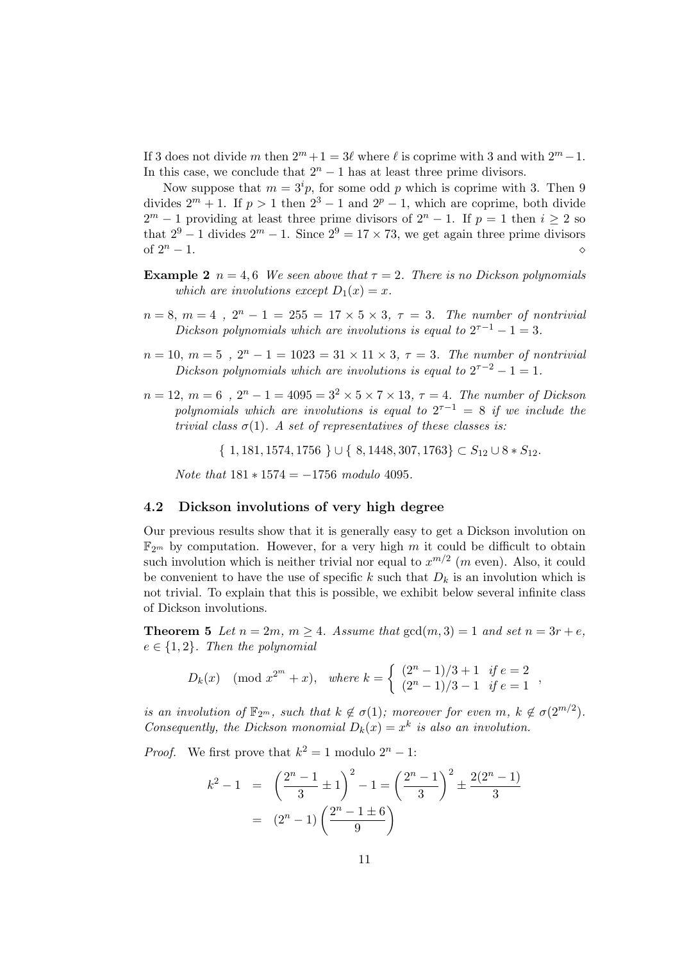If 3 does not divide m then  $2^m + 1 = 3\ell$  where  $\ell$  is coprime with 3 and with  $2^m - 1$ . In this case, we conclude that  $2<sup>n</sup> - 1$  has at least three prime divisors.

Now suppose that  $m = 3^{i}p$ , for some odd p which is coprime with 3. Then 9 divides  $2^m + 1$ . If  $p > 1$  then  $2^3 - 1$  and  $2^p - 1$ , which are coprime, both divide  $2^m - 1$  providing at least three prime divisors of  $2^n - 1$ . If  $p = 1$  then  $i \geq 2$  so that  $2^9 - 1$  divides  $2^m - 1$ . Since  $2^9 = 17 \times 73$ , we get again three prime divisors of  $2^n - 1$ .

- **Example 2**  $n = 4, 6$  We seen above that  $\tau = 2$ . There is no Dickson polynomials which are involutions except  $D_1(x) = x$ .
- $n = 8, m = 4, 2^{n} 1 = 255 = 17 \times 5 \times 3, \tau = 3$ . The number of nontrivial Dickson polynomials which are involutions is equal to  $2^{\tau-1} - 1 = 3$ .
- $n = 10, m = 5, 2<sup>n</sup> 1 = 1023 = 31 \times 11 \times 3, \tau = 3$ . The number of nontrivial Dickson polynomials which are involutions is equal to  $2^{\tau-2} - 1 = 1$ .
- $n = 12, m = 6, 2<sup>n</sup> 1 = 4095 = 3<sup>2</sup> \times 5 \times 7 \times 13, \tau = 4$ . The number of Dickson polynomials which are involutions is equal to  $2^{\tau-1} = 8$  if we include the trivial class  $\sigma(1)$ . A set of representatives of these classes is:

 $\{ 1, 181, 1574, 1756 \} \cup \{ 8, 1448, 307, 1763 \} \subset S_{12} \cup 8 * S_{12}.$ 

Note that  $181 * 1574 = -1756$  modulo 4095.

#### 4.2 Dickson involutions of very high degree

Our previous results show that it is generally easy to get a Dickson involution on  $\mathbb{F}_{2^m}$  by computation. However, for a very high m it could be difficult to obtain such involution which is neither trivial nor equal to  $x^{m/2}$  (m even). Also, it could be convenient to have the use of specific k such that  $D_k$  is an involution which is not trivial. To explain that this is possible, we exhibit below several infinite class of Dickson involutions.

**Theorem 5** Let  $n = 2m$ ,  $m \geq 4$ . Assume that  $gcd(m, 3) = 1$  and set  $n = 3r + e$ ,  $e \in \{1,2\}$ . Then the polynomial

$$
D_k(x)
$$
 (mod  $x^{2^m} + x$ ), where  $k = \begin{cases} (2^n - 1)/3 + 1 & \text{if } e = 2 \\ (2^n - 1)/3 - 1 & \text{if } e = 1 \end{cases}$ ,

is an involution of  $\mathbb{F}_{2^m}$ , such that  $k \notin \sigma(1)$ ; moreover for even  $m, k \notin \sigma(2^{m/2})$ . Consequently, the Dickson monomial  $D_k(x) = x^k$  is also an involution.

*Proof.* We first prove that  $k^2 = 1$  modulo  $2^n - 1$ :

$$
k^{2} - 1 = \left(\frac{2^{n} - 1}{3} \pm 1\right)^{2} - 1 = \left(\frac{2^{n} - 1}{3}\right)^{2} \pm \frac{2(2^{n} - 1)}{3}
$$

$$
= (2^{n} - 1)\left(\frac{2^{n} - 1 \pm 6}{9}\right)
$$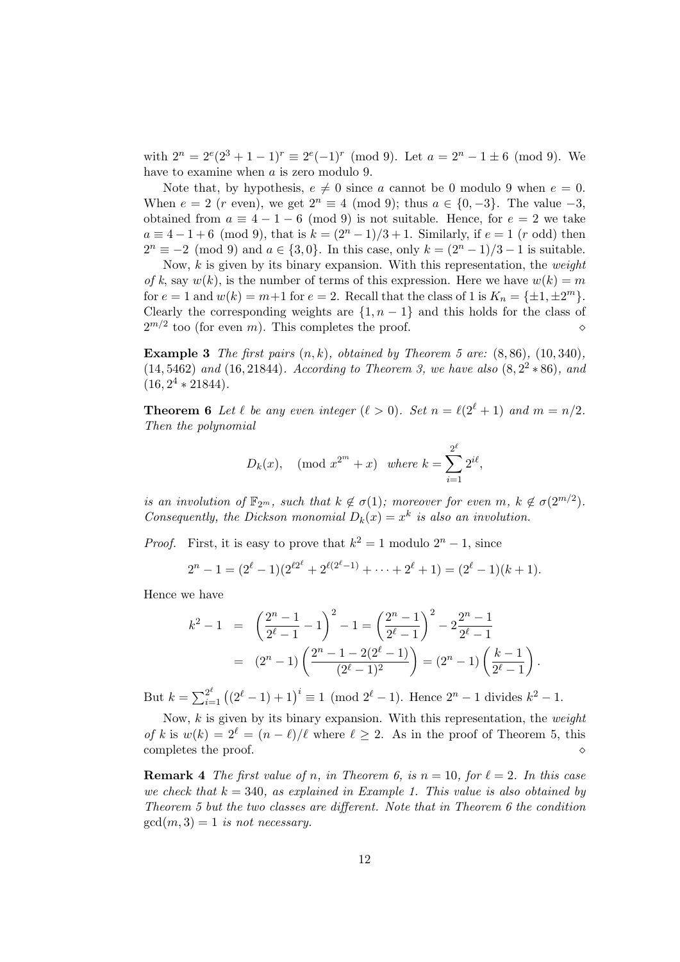with  $2^n = 2^e(2^3 + 1 - 1)^r \equiv 2^e(-1)^r \pmod{9}$ . Let  $a = 2^n - 1 \pm 6 \pmod{9}$ . We have to examine when a is zero modulo 9.

Note that, by hypothesis,  $e \neq 0$  since a cannot be 0 modulo 9 when  $e = 0$ . When  $e = 2$  (r even), we get  $2^n \equiv 4 \pmod{9}$ ; thus  $a \in \{0, -3\}$ . The value  $-3$ , obtained from  $a \equiv 4 - 1 - 6 \pmod{9}$  is not suitable. Hence, for  $e = 2$  we take  $a \equiv 4 - 1 + 6 \pmod{9}$ , that is  $k = (2^{n} - 1)/3 + 1$ . Similarly, if  $e = 1 \pmod{9}$  then  $2^{n} \equiv -2 \pmod{9}$  and  $a \in \{3, 0\}$ . In this case, only  $k = (2^{n} - 1)/3 - 1$  is suitable.

Now,  $k$  is given by its binary expansion. With this representation, the *weight* of k, say  $w(k)$ , is the number of terms of this expression. Here we have  $w(k) = m$ for  $e = 1$  and  $w(k) = m+1$  for  $e = 2$ . Recall that the class of 1 is  $K_n = {\pm 1, \pm 2^m}$ . Clearly the corresponding weights are  $\{1, n-1\}$  and this holds for the class of  $2^{m/2}$  too (for even m). This completes the proof.

**Example 3** The first pairs  $(n, k)$ , obtained by Theorem 5 are:  $(8, 86)$ ,  $(10, 340)$ ,  $(14, 5462)$  and  $(16, 21844)$ . According to Theorem 3, we have also  $(8, 2^2 * 86)$ , and  $(16, 2^4 * 21844).$ 

**Theorem 6** Let  $\ell$  be any even integer  $(\ell > 0)$ . Set  $n = \ell(2^{\ell} + 1)$  and  $m = n/2$ . Then the polynomial

$$
D_k(x)
$$
, (mod  $x^{2^m} + x$ ) where  $k = \sum_{i=1}^{2^{\ell}} 2^{i\ell}$ ,

is an involution of  $\mathbb{F}_{2^m}$ , such that  $k \notin \sigma(1)$ ; moreover for even  $m, k \notin \sigma(2^{m/2})$ . Consequently, the Dickson monomial  $D_k(x) = x^k$  is also an involution.

*Proof.* First, it is easy to prove that  $k^2 = 1$  modulo  $2^n - 1$ , since

$$
2^{n} - 1 = (2^{\ell} - 1)(2^{\ell 2^{\ell}} + 2^{\ell (2^{\ell} - 1)} + \cdots + 2^{\ell} + 1) = (2^{\ell} - 1)(k + 1).
$$

Hence we have

$$
k^{2} - 1 = \left(\frac{2^{n} - 1}{2^{\ell} - 1} - 1\right)^{2} - 1 = \left(\frac{2^{n} - 1}{2^{\ell} - 1}\right)^{2} - 2\frac{2^{n} - 1}{2^{\ell} - 1}
$$

$$
= (2^{n} - 1)\left(\frac{2^{n} - 1 - 2(2^{\ell} - 1)}{(2^{\ell} - 1)^{2}}\right) = (2^{n} - 1)\left(\frac{k - 1}{2^{\ell} - 1}\right).
$$

But  $k = \sum_{i=1}^{2^{\ell}} ((2^{\ell} - 1) + 1)^{i} \equiv 1 \pmod{2^{\ell} - 1}$ . Hence  $2^{n} - 1$  divides  $k^{2} - 1$ .

Now,  $k$  is given by its binary expansion. With this representation, the *weight* of k is  $w(k) = 2^{\ell} = (n - \ell)/\ell$  where  $\ell \geq 2$ . As in the proof of Theorem 5, this completes the proof.  $\Diamond$ 

**Remark 4** The first value of n, in Theorem 6, is  $n = 10$ , for  $\ell = 2$ . In this case we check that  $k = 340$ , as explained in Example 1. This value is also obtained by Theorem 5 but the two classes are different. Note that in Theorem 6 the condition  $gcd(m, 3) = 1$  is not necessary.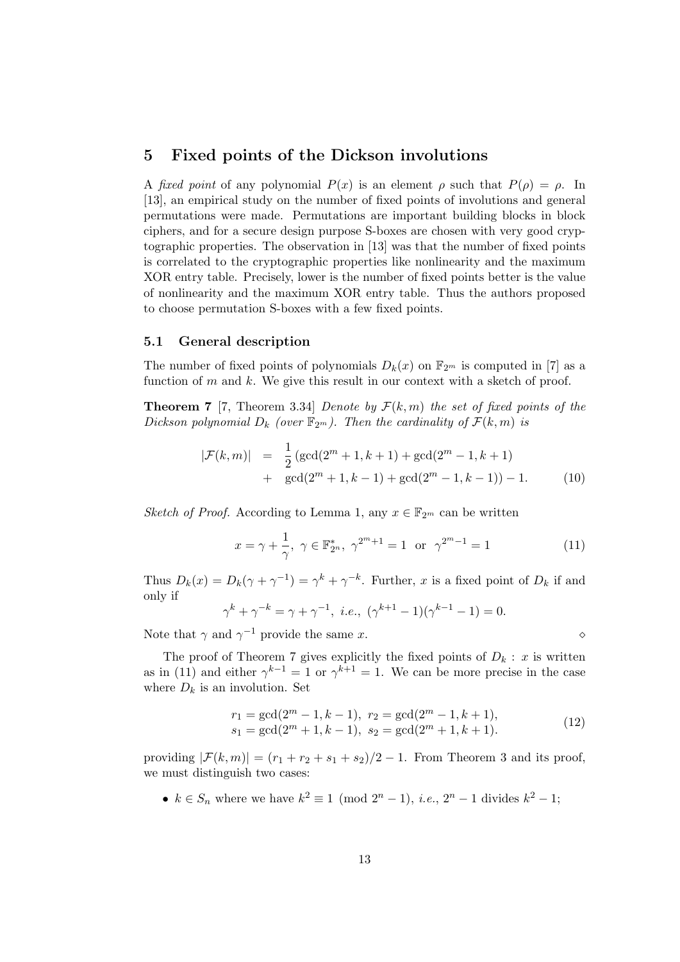## 5 Fixed points of the Dickson involutions

A fixed point of any polynomial  $P(x)$  is an element  $\rho$  such that  $P(\rho) = \rho$ . In [13], an empirical study on the number of fixed points of involutions and general permutations were made. Permutations are important building blocks in block ciphers, and for a secure design purpose S-boxes are chosen with very good cryptographic properties. The observation in [13] was that the number of fixed points is correlated to the cryptographic properties like nonlinearity and the maximum XOR entry table. Precisely, lower is the number of fixed points better is the value of nonlinearity and the maximum XOR entry table. Thus the authors proposed to choose permutation S-boxes with a few fixed points.

#### 5.1 General description

The number of fixed points of polynomials  $D_k(x)$  on  $\mathbb{F}_{2^m}$  is computed in [7] as a function of  $m$  and  $k$ . We give this result in our context with a sketch of proof.

**Theorem 7** [7, Theorem 3.34] Denote by  $\mathcal{F}(k,m)$  the set of fixed points of the Dickson polynomial  $D_k$  (over  $\mathbb{F}_{2^m}$ ). Then the cardinality of  $\mathcal{F}(k,m)$  is

$$
|\mathcal{F}(k,m)| = \frac{1}{2} (\gcd(2^m + 1, k + 1) + \gcd(2^m - 1, k + 1) + \gcd(2^m + 1, k - 1) + \gcd(2^m - 1, k - 1)) - 1.
$$
 (10)

Sketch of Proof. According to Lemma 1, any  $x \in \mathbb{F}_{2^m}$  can be written

$$
x = \gamma + \frac{1}{\gamma}, \ \gamma \in \mathbb{F}_{2^n}^*, \ \gamma^{2^m+1} = 1 \text{ or } \gamma^{2^m-1} = 1
$$
 (11)

Thus  $D_k(x) = D_k(\gamma + \gamma^{-1}) = \gamma^k + \gamma^{-k}$ . Further, x is a fixed point of  $D_k$  if and only if

$$
\gamma^{k} + \gamma^{-k} = \gamma + \gamma^{-1}, \ i.e., \ (\gamma^{k+1} - 1)(\gamma^{k-1} - 1) = 0.
$$

Note that  $\gamma$  and  $\gamma^{-1}$  provide the same x.

The proof of Theorem 7 gives explicitly the fixed points of  $D_k : x$  is written as in (11) and either  $\gamma^{k-1} = 1$  or  $\gamma^{k+1} = 1$ . We can be more precise in the case where  $D_k$  is an involution. Set

$$
r_1 = \gcd(2^m - 1, k - 1), \ r_2 = \gcd(2^m - 1, k + 1), s_1 = \gcd(2^m + 1, k - 1), \ s_2 = \gcd(2^m + 1, k + 1).
$$
 (12)

providing  $|\mathcal{F}(k,m)| = (r_1 + r_2 + s_1 + s_2)/2 - 1$ . From Theorem 3 and its proof, we must distinguish two cases:

•  $k \in S_n$  where we have  $k^2 \equiv 1 \pmod{2^n - 1}$ , *i.e.*,  $2^n - 1$  divides  $k^2 - 1$ ;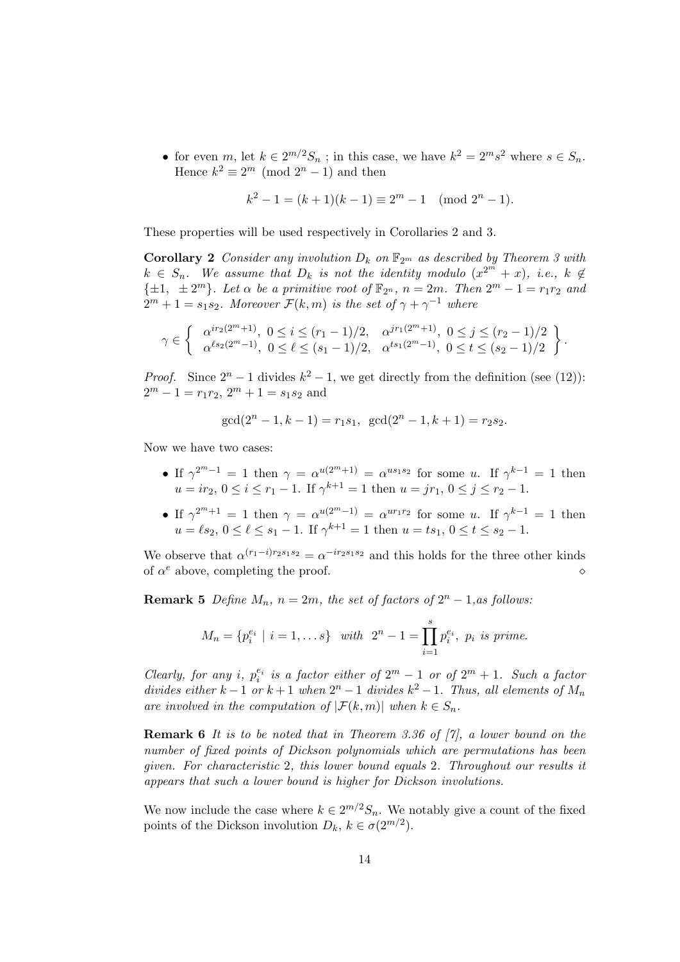• for even m, let  $k \in 2^{m/2}S_n$ ; in this case, we have  $k^2 = 2^ms^2$  where  $s \in S_n$ . Hence  $k^2 \equiv 2^m \pmod{2^n - 1}$  and then

$$
k^2 - 1 = (k+1)(k-1) \equiv 2^m - 1 \pmod{2^n - 1}.
$$

These properties will be used respectively in Corollaries 2 and 3.

**Corollary 2** Consider any involution  $D_k$  on  $\mathbb{F}_{2^m}$  as described by Theorem 3 with  $k \in S_n$ . We assume that  $D_k$  is not the identity modulo  $(x^{2^m} + x)$ , i.e.,  $k \notin$  $\{\pm 1, \pm 2^m\}$ . Let  $\alpha$  be a primitive root of  $\mathbb{F}_{2^n}$ ,  $n = 2m$ . Then  $2^m - 1 = r_1r_2$  and  $2^m + 1 = s_1 s_2$ . Moreover  $\mathcal{F}(k,m)$  is the set of  $\gamma + \gamma^{-1}$  where

$$
\gamma \in \left\{\begin{array}{cc} \alpha^{ir_2(2^m+1)}, \ 0 \leq i \leq (r_1-1)/2, & \alpha^{jr_1(2^m+1)}, \ 0 \leq j \leq (r_2-1)/2 \\ \alpha^{\ell s_2(2^m-1)}, \ 0 \leq \ell \leq (s_1-1)/2, & \alpha^{t s_1(2^m-1)}, \ 0 \leq t \leq (s_2-1)/2 \end{array} \right\}.
$$

*Proof.* Since  $2^{n} - 1$  divides  $k^{2} - 1$ , we get directly from the definition (see (12)):  $2^m - 1 = r_1 r_2$ ,  $2^m + 1 = s_1 s_2$  and

$$
\gcd(2^n - 1, k - 1) = r_1 s_1, \ \gcd(2^n - 1, k + 1) = r_2 s_2.
$$

Now we have two cases:

- If  $\gamma^{2^m-1} = 1$  then  $\gamma = \alpha^{u(2^m+1)} = \alpha^{u s_1 s_2}$  for some u. If  $\gamma^{k-1} = 1$  then  $u = ir_2, 0 \le i \le r_1 - 1$ . If  $\gamma^{k+1} = 1$  then  $u = jr_1, 0 \le j \le r_2 - 1$ .
- If  $\gamma^{2^m+1} = 1$  then  $\gamma = \alpha^{u(2^m-1)} = \alpha^{ur_1r_2}$  for some u. If  $\gamma^{k-1} = 1$  then  $u = \ell s_2, \, 0 \leq \ell \leq s_1 - 1.$  If  $\gamma^{k+1} = 1$  then  $u = ts_1, \, 0 \leq t \leq s_2 - 1.$

We observe that  $\alpha^{(r_1-i)r_2s_1s_2} = \alpha^{-ir_2s_1s_2}$  and this holds for the three other kinds of  $\alpha^e$  above, completing the proof.

**Remark 5** Define  $M_n$ ,  $n = 2m$ , the set of factors of  $2^n - 1$ , as follows:

$$
M_n = \{p_i^{e_i} \mid i = 1, \dots s\} \quad with \quad 2^n - 1 = \prod_{i=1}^s p_i^{e_i}, \quad p_i \text{ is prime.}
$$

Clearly, for any i,  $p_i^{e_i}$  is a factor either of  $2^m - 1$  or of  $2^m + 1$ . Such a factor divides either  $k-1$  or  $k+1$  when  $2^n-1$  divides  $k^2-1$ . Thus, all elements of  $M_n$ are involved in the computation of  $|\mathcal{F}(k,m)|$  when  $k \in S_n$ .

**Remark 6** It is to be noted that in Theorem 3.36 of  $[7]$ , a lower bound on the number of fixed points of Dickson polynomials which are permutations has been given. For characteristic 2, this lower bound equals 2. Throughout our results it appears that such a lower bound is higher for Dickson involutions.

We now include the case where  $k \in 2^{m/2} S_n$ . We notably give a count of the fixed points of the Dickson involution  $D_k, k \in \sigma(2^{m/2})$ .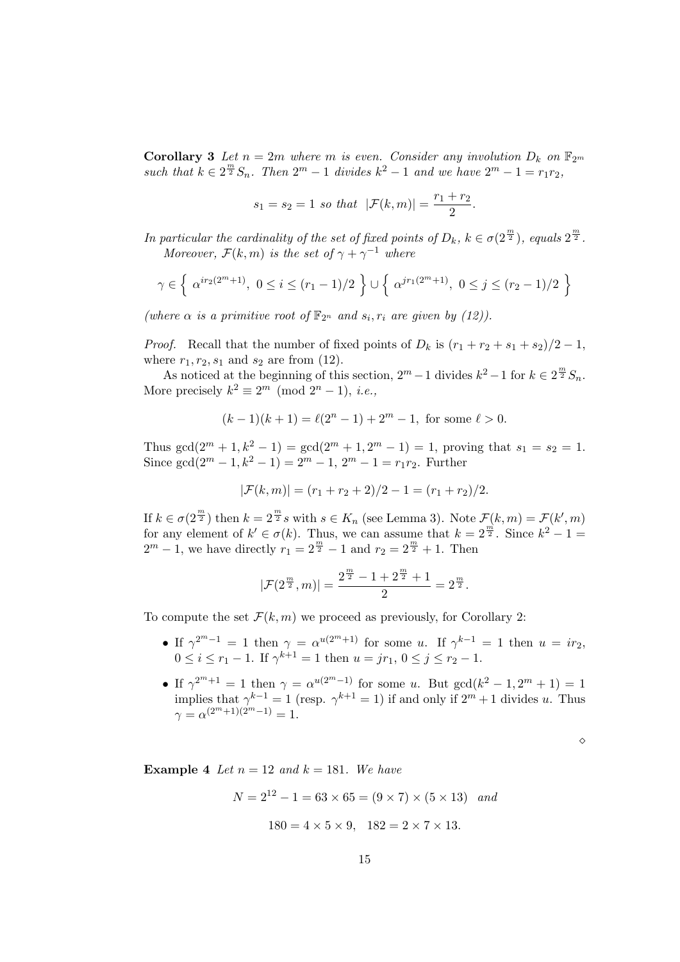**Corollary 3** Let  $n = 2m$  where m is even. Consider any involution  $D_k$  on  $\mathbb{F}_{2m}$ such that  $k \in 2^{\frac{m}{2}}S_n$ . Then  $2^m - 1$  divides  $k^2 - 1$  and we have  $2^m - 1 = r_1r_2$ ,

$$
s_1 = s_2 = 1
$$
 so that  $|\mathcal{F}(k,m)| = \frac{r_1 + r_2}{2}$ .

In particular the cardinality of the set of fixed points of  $D_k$ ,  $k \in \sigma(2^{\frac{m}{2}})$ , equals  $2^{\frac{m}{2}}$ . Moreover,  $\mathcal{F}(k,m)$  is the set of  $\gamma + \gamma^{-1}$  where

$$
\gamma \in \left\{ \alpha^{ir_2(2^m+1)}, \ 0 \le i \le (r_1-1)/2 \right\} \cup \left\{ \alpha^{jr_1(2^m+1)}, \ 0 \le j \le (r_2-1)/2 \right\}
$$

(where  $\alpha$  is a primitive root of  $\mathbb{F}_{2^n}$  and  $s_i, r_i$  are given by (12)).

*Proof.* Recall that the number of fixed points of  $D_k$  is  $(r_1 + r_2 + s_1 + s_2)/2 - 1$ , where  $r_1, r_2, s_1$  and  $s_2$  are from (12).

As noticed at the beginning of this section,  $2^m - 1$  divides  $k^2 - 1$  for  $k \in 2^{\frac{m}{2}} S_n$ . More precisely  $k^2 \equiv 2^m \pmod{2^n - 1}$ , *i.e.*,

$$
(k-1)(k+1) = \ell(2^n - 1) + 2^m - 1, \text{ for some } \ell > 0.
$$

Thus  $gcd(2^m + 1, k^2 - 1) = gcd(2^m + 1, 2^m - 1) = 1$ , proving that  $s_1 = s_2 = 1$ . Since  $gcd(2^m - 1, k^2 - 1) = 2^m - 1, 2^m - 1 = r_1r_2$ . Further

$$
|\mathcal{F}(k,m)| = (r_1 + r_2 + 2)/2 - 1 = (r_1 + r_2)/2.
$$

If  $k \in \sigma(2^{\frac{m}{2}})$  then  $k = 2^{\frac{m}{2}} s$  with  $s \in K_n$  (see Lemma 3). Note  $\mathcal{F}(k,m) = \mathcal{F}(k',m)$ for any element of  $k' \in \sigma(k)$ . Thus, we can assume that  $k = 2^{\frac{m}{2}}$ . Since  $k^2 - 1 =$  $2^m - 1$ , we have directly  $r_1 = 2^{\frac{m}{2}} - 1$  and  $r_2 = 2^{\frac{m}{2}} + 1$ . Then

$$
|\mathcal{F}(2^{\frac{m}{2}},m)|=\frac{2^{\frac{m}{2}}-1+2^{\frac{m}{2}}+1}{2}=2^{\frac{m}{2}}.
$$

To compute the set  $\mathcal{F}(k,m)$  we proceed as previously, for Corollary 2:

- If  $\gamma^{2^m-1} = 1$  then  $\gamma = \alpha^{u(2^m+1)}$  for some u. If  $\gamma^{k-1} = 1$  then  $u = ir_2$ ,  $0 \leq i \leq r_1 - 1$ . If  $\gamma^{k+1} = 1$  then  $u = jr_1, 0 \leq j \leq r_2 - 1$ .
- If  $\gamma^{2^m+1} = 1$  then  $\gamma = \alpha^{u(2^m-1)}$  for some u. But  $gcd(k^2 1, 2^m + 1) = 1$ implies that  $\gamma^{k-1} = 1$  (resp.  $\gamma^{k+1} = 1$ ) if and only if  $2^m + 1$  divides u. Thus  $\gamma = \alpha^{(2^m+1)(2^m-1)} = 1.$

 $\Diamond$ 

**Example 4** Let  $n = 12$  and  $k = 181$ . We have

$$
N = 2^{12} - 1 = 63 \times 65 = (9 \times 7) \times (5 \times 13)
$$
 and  
 
$$
180 = 4 \times 5 \times 9, \quad 182 = 2 \times 7 \times 13.
$$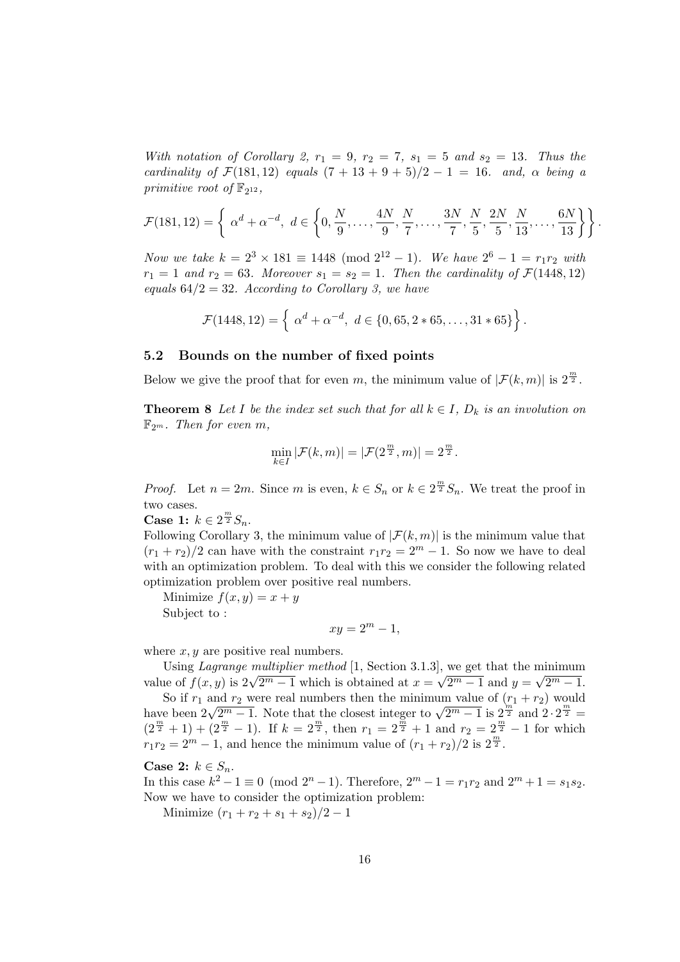With notation of Corollary 2,  $r_1 = 9$ ,  $r_2 = 7$ ,  $s_1 = 5$  and  $s_2 = 13$ . Thus the cardinality of  $\mathcal{F}(181, 12)$  equals  $(7 + 13 + 9 + 5)/2 - 1 = 16$ . and,  $\alpha$  being a primitive root of  $\mathbb{F}_{2^{12}}$ ,

$$
\mathcal{F}(181, 12) = \left\{ \alpha^d + \alpha^{-d}, \ d \in \left\{0, \frac{N}{9}, \dots, \frac{4N}{9}, \frac{N}{7}, \dots, \frac{3N}{7}, \frac{N}{5}, \frac{2N}{5}, \frac{N}{13}, \dots, \frac{6N}{13} \right\} \right\}.
$$

Now we take  $k = 2^3 \times 181 \equiv 1448 \pmod{2^{12} - 1}$ . We have  $2^6 - 1 = r_1 r_2$  with  $r_1 = 1$  and  $r_2 = 63$ . Moreover  $s_1 = s_2 = 1$ . Then the cardinality of  $\mathcal{F}(1448, 12)$ equals  $64/2 = 32$ . According to Corollary 3, we have

$$
\mathcal{F}(1448, 12) = \left\{ \alpha^d + \alpha^{-d}, \ d \in \{0, 65, 2 * 65, \ldots, 31 * 65\} \right\}.
$$

#### 5.2 Bounds on the number of fixed points

Below we give the proof that for even m, the minimum value of  $|\mathcal{F}(k,m)|$  is  $2^{\frac{m}{2}}$ .

**Theorem 8** Let I be the index set such that for all  $k \in I$ ,  $D_k$  is an involution on  $\mathbb{F}_{2^m}$ . Then for even m,

$$
\min_{k \in I} |\mathcal{F}(k,m)| = |\mathcal{F}(2^{\frac{m}{2}},m)| = 2^{\frac{m}{2}}.
$$

*Proof.* Let  $n = 2m$ . Since m is even,  $k \in S_n$  or  $k \in 2^{\frac{m}{2}}S_n$ . We treat the proof in two cases.

Case 1:  $k \in 2^{\frac{m}{2}} S_n$ .

Following Corollary 3, the minimum value of  $|\mathcal{F}(k,m)|$  is the minimum value that  $(r_1 + r_2)/2$  can have with the constraint  $r_1r_2 = 2^m - 1$ . So now we have to deal with an optimization problem. To deal with this we consider the following related optimization problem over positive real numbers.

Minimize  $f(x, y) = x + y$ Subject to :

$$
xy = 2^m - 1,
$$

where  $x, y$  are positive real numbers.

Using *Lagrange multiplier method* [1, Section 3.1.3], we get that the minimum value of  $f(x, y)$  is  $2\sqrt{2^m - 1}$  which is obtained at  $x = \sqrt{2^m - 1}$  and  $y = \sqrt{2^m - 1}$ .

So if  $r_1$  and  $r_2$  were real numbers then the minimum value of  $(r_1 + r_2)$  would So if  $r_1$  and  $r_2$  were real numbers then the minimum value of  $\left(\frac{m_1}{2} + r_2\right)$  would<br>have been  $2\sqrt{2^m - 1}$ . Note that the closest integer to  $\sqrt{2^m - 1}$  is  $2^{\frac{m}{2}}$  and  $2 \cdot 2^{\frac{m}{2}} =$  $(2^{\frac{m}{2}}+1)+(2^{\frac{m}{2}}-1)$ . If  $k=2^{\frac{m}{2}}$ , then  $r_1=2^{\frac{m}{2}}+1$  and  $r_2=2^{\frac{m}{2}}-1$  for which  $r_1r_2 = 2^m - 1$ , and hence the minimum value of  $(r_1 + r_2)/2$  is  $2^{\frac{m}{2}}$ .

Case 2:  $k \in S_n$ .

In this case  $k^2 - 1 \equiv 0 \pmod{2^n - 1}$ . Therefore,  $2^m - 1 = r_1 r_2$  and  $2^m + 1 = s_1 s_2$ . Now we have to consider the optimization problem:

Minimize  $(r_1 + r_2 + s_1 + s_2)/2 - 1$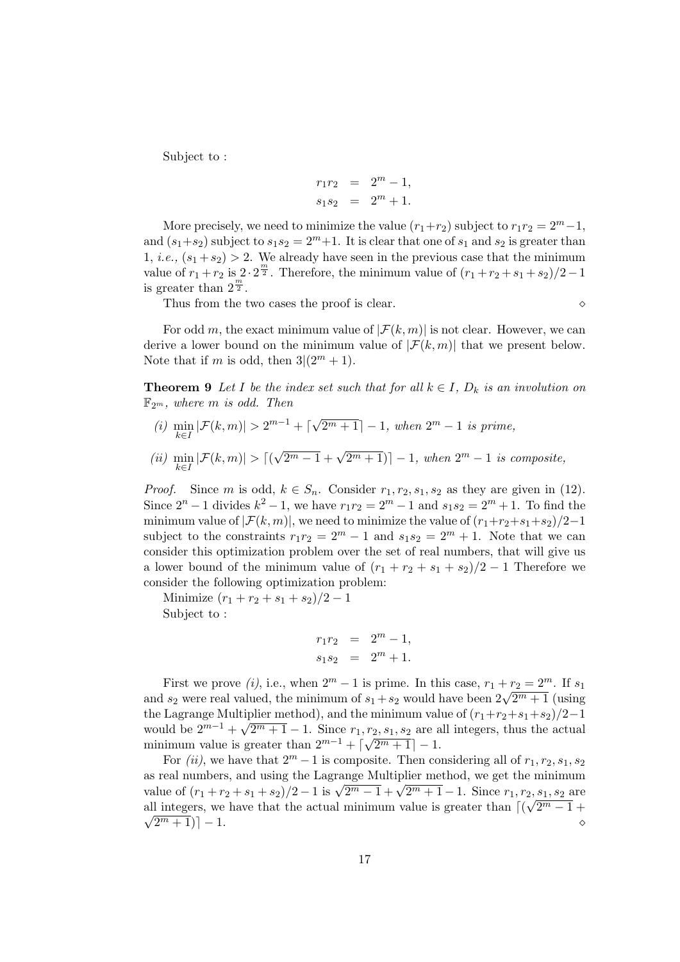Subject to :

$$
r_1 r_2 = 2m - 1,
$$
  

$$
s_1 s_2 = 2m + 1.
$$

More precisely, we need to minimize the value  $(r_1+r_2)$  subject to  $r_1r_2 = 2^m-1$ , and  $(s_1+s_2)$  subject to  $s_1s_2=2^m+1$ . It is clear that one of  $s_1$  and  $s_2$  is greater than 1, *i.e.*,  $(s_1 + s_2) > 2$ . We already have seen in the previous case that the minimum value of  $r_1 + r_2$  is  $2 \cdot 2^{\frac{m}{2}}$ . Therefore, the minimum value of  $(r_1 + r_2 + s_1 + s_2)/2 - 1$ is greater than  $2^{\frac{m}{2}}$ .

Thus from the two cases the proof is clear.  $\Diamond$ 

For odd m, the exact minimum value of  $|\mathcal{F}(k,m)|$  is not clear. However, we can derive a lower bound on the minimum value of  $|\mathcal{F}(k,m)|$  that we present below. Note that if m is odd, then  $3|(2^m+1)$ .

**Theorem 9** Let I be the index set such that for all  $k \in I$ ,  $D_k$  is an involution on  $\mathbb{F}_{2^m}$ , where m is odd. Then

- (i)  $\min_{k \in I} |\mathcal{F}(k,m)| > 2^{m-1} + \lceil \sqrt{\}}$  $\overline{2^m+1}$  - 1, when  $2^m-1$  is prime,
- (*ii*)  $\min_{k \in I} |\mathcal{F}(k,m)| > [($  $\sqrt{2^m-1} + \sqrt{2^m+1}$ ) - 1, when  $2^m - 1$  is composite,

*Proof.* Since m is odd,  $k \in S_n$ . Consider  $r_1, r_2, s_1, s_2$  as they are given in (12). Since  $2^{n} - 1$  divides  $k^{2} - 1$ , we have  $r_{1}r_{2} = 2^{m} - 1$  and  $s_{1}s_{2} = 2^{m} + 1$ . To find the minimum value of  $|\mathcal{F}(k,m)|$ , we need to minimize the value of  $(r_1+r_2+s_1+s_2)/2-1$ subject to the constraints  $r_1r_2 = 2^m - 1$  and  $s_1s_2 = 2^m + 1$ . Note that we can consider this optimization problem over the set of real numbers, that will give us a lower bound of the minimum value of  $(r_1 + r_2 + s_1 + s_2)/2 - 1$  Therefore we consider the following optimization problem:

Minimize  $(r_1 + r_2 + s_1 + s_2)/2 - 1$ Subject to :

$$
r_1r_2 = 2^m - 1,
$$
  

$$
s_1s_2 = 2^m + 1.
$$

First we prove (i), i.e., when  $2^m - 1$  is prime. In this case,  $r_1 + r_2 = 2^m$ . If  $s_1$ First we prove  $(i)$ , i.e., when  $2 - 1$  is prime. In this case,  $r_1 + r_2 = 2$ . It  $s_1$  and  $s_2$  were real valued, the minimum of  $s_1 + s_2$  would have been  $2\sqrt{2^m + 1}$  (using the Lagrange Multiplier method), and the minimum value of  $(r_1+r_2+s_1+s_2)/2-1$ would be  $2^{m-1} + \sqrt{2^m + 1} - 1$ . Since  $r_1, r_2, s_1, s_2$  are all integers, thus the actual minimum value is greater than  $2^{m-1} + \lceil \sqrt{2^m + 1} \rceil - 1$ .

For (ii), we have that  $2^m - 1$  is composite. Then considering all of  $r_1, r_2, s_1, s_2$ as real numbers, and using the Lagrange Multiplier method, we get the minimum as real numbers, and using the Lagrange Multiplier method, we get the minimum<br>value of  $(r_1 + r_2 + s_1 + s_2)/2 - 1$  is  $\sqrt{2^m - 1} + \sqrt{2^m + 1} - 1$ . Since  $r_1, r_2, s_1, s_2$  are all integers, we have that the actual minimum value is greater than  $\lceil (\sqrt{2^m - 1} + \sqrt{2^m - 1})^m \rceil$  $\sqrt{2^m + 1}$ ] − 1.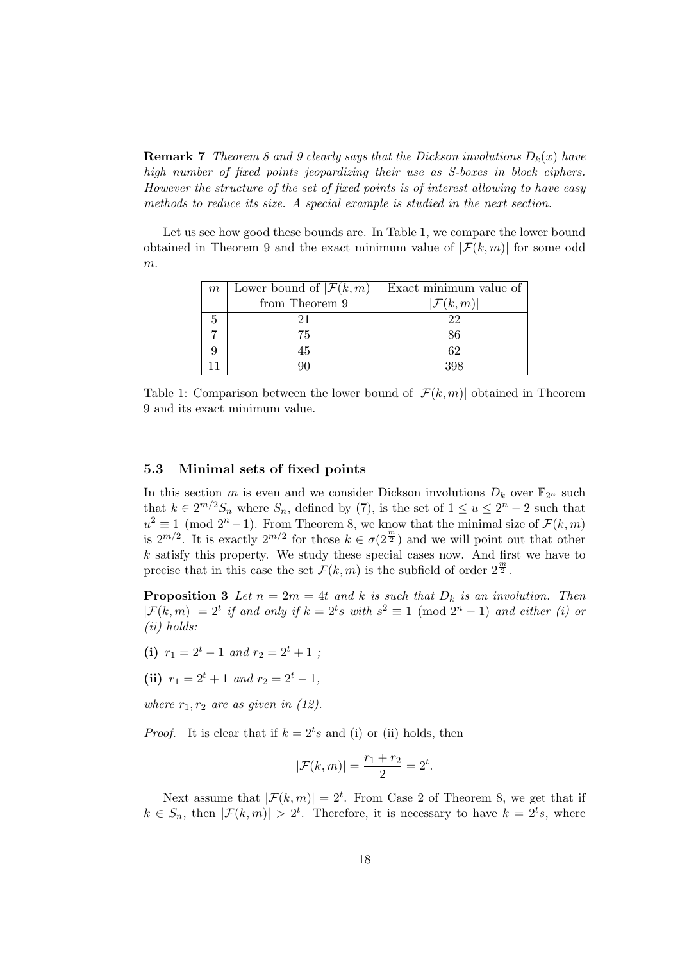**Remark 7** Theorem 8 and 9 clearly says that the Dickson involutions  $D_k(x)$  have high number of fixed points jeopardizing their use as S-boxes in block ciphers. However the structure of the set of fixed points is of interest allowing to have easy methods to reduce its size. A special example is studied in the next section.

Let us see how good these bounds are. In Table 1, we compare the lower bound obtained in Theorem 9 and the exact minimum value of  $|\mathcal{F}(k,m)|$  for some odd m.

| $m\,$ | Lower bound of $ \mathcal{F}(k,m) $   Exact minimum value of |                      |  |  |
|-------|--------------------------------------------------------------|----------------------|--|--|
|       | from Theorem 9                                               | $ \mathcal{F}(k,m) $ |  |  |
|       |                                                              | 22                   |  |  |
|       | 75                                                           | 86                   |  |  |
|       | 45                                                           | 62                   |  |  |
|       |                                                              | 398                  |  |  |

Table 1: Comparison between the lower bound of  $|\mathcal{F}(k,m)|$  obtained in Theorem 9 and its exact minimum value.

#### 5.3 Minimal sets of fixed points

In this section m is even and we consider Dickson involutions  $D_k$  over  $\mathbb{F}_{2^n}$  such that  $k \in 2^{m/2}S_n$  where  $S_n$ , defined by (7), is the set of  $1 \le u \le 2^n - 2$  such that  $u^2 \equiv 1 \pmod{2^{n}-1}$ . From Theorem 8, we know that the minimal size of  $\mathcal{F}(k,m)$ is  $2^{m/2}$ . It is exactly  $2^{m/2}$  for those  $k \in \sigma(2^{\frac{m}{2}})$  and we will point out that other  $k$  satisfy this property. We study these special cases now. And first we have to precise that in this case the set  $\mathcal{F}(k,m)$  is the subfield of order  $2^{\frac{m}{2}}$ .

**Proposition 3** Let  $n = 2m = 4t$  and k is such that  $D_k$  is an involution. Then  $|\mathcal{F}(k,m)| = 2^t$  if and only if  $k = 2^t s$  with  $s^2 \equiv 1 \pmod{2^n - 1}$  and either (i) or (ii) holds:

- (i)  $r_1 = 2^t 1$  and  $r_2 = 2^t + 1$ ;
- (ii)  $r_1 = 2^t + 1$  and  $r_2 = 2^t 1$ ,

where  $r_1, r_2$  are as given in (12).

*Proof.* It is clear that if  $k = 2<sup>t</sup> s$  and (i) or (ii) holds, then

$$
|\mathcal{F}(k,m)| = \frac{r_1 + r_2}{2} = 2^t.
$$

Next assume that  $|\mathcal{F}(k,m)| = 2^t$ . From Case 2 of Theorem 8, we get that if  $k \in S_n$ , then  $|\mathcal{F}(k,m)| > 2^t$ . Therefore, it is necessary to have  $k = 2^t s$ , where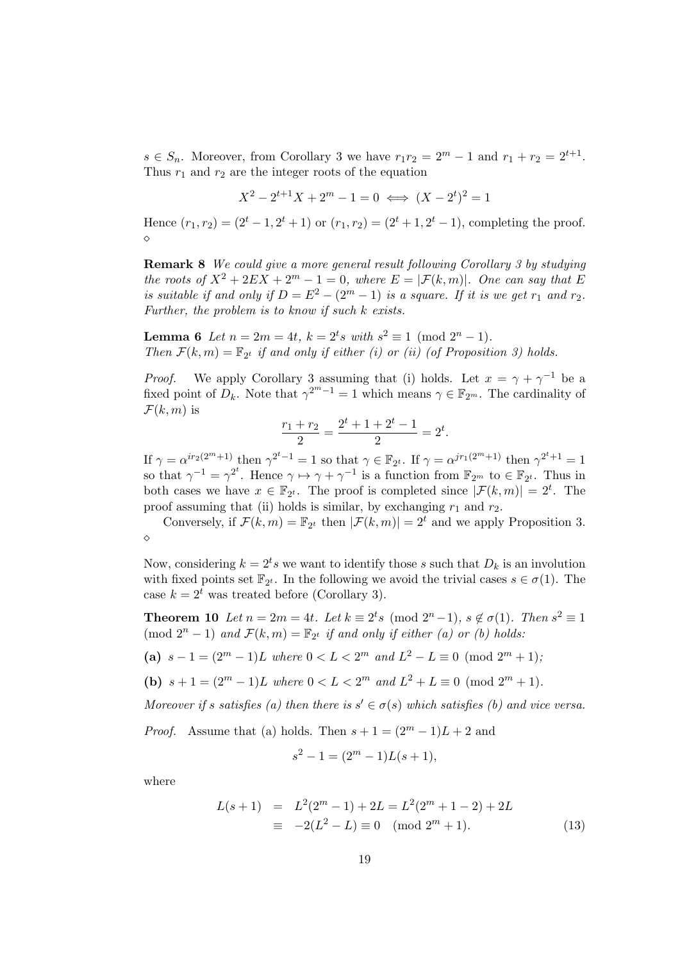$s \in S_n$ . Moreover, from Corollary 3 we have  $r_1r_2 = 2^m - 1$  and  $r_1 + r_2 = 2^{t+1}$ . Thus  $r_1$  and  $r_2$  are the integer roots of the equation

$$
X^2 - 2^{t+1}X + 2^m - 1 = 0 \iff (X - 2^t)^2 = 1
$$

Hence  $(r_1, r_2) = (2^t - 1, 2^t + 1)$  or  $(r_1, r_2) = (2^t + 1, 2^t - 1)$ , completing the proof.  $\Diamond$ 

Remark 8 We could give a more general result following Corollary 3 by studying the roots of  $X^2 + 2EX + 2^m - 1 = 0$ , where  $E = |\mathcal{F}(k,m)|$ . One can say that E is suitable if and only if  $D = E^2 - (2^m - 1)$  is a square. If it is we get  $r_1$  and  $r_2$ . Further, the problem is to know if such  $k$  exists.

**Lemma 6** Let  $n = 2m = 4t$ ,  $k = 2^t s$  with  $s^2 \equiv 1 \pmod{2^n - 1}$ . Then  $\mathcal{F}(k,m) = \mathbb{F}_{2^t}$  if and only if either (i) or (ii) (of Proposition 3) holds.

*Proof.* We apply Corollary 3 assuming that (i) holds. Let  $x = \gamma + \gamma^{-1}$  be a fixed point of  $D_k$ . Note that  $\gamma^{2^m-1} = 1$  which means  $\gamma \in \mathbb{F}_{2^m}$ . The cardinality of  $\mathcal{F}(k,m)$  is

$$
\frac{r_1 + r_2}{2} = \frac{2^t + 1 + 2^t - 1}{2} = 2^t.
$$

If  $\gamma = \alpha^{ir_2(2^m+1)}$  then  $\gamma^{2^t-1} = 1$  so that  $\gamma \in \mathbb{F}_{2^t}$ . If  $\gamma = \alpha^{jr_1(2^m+1)}$  then  $\gamma^{2^t+1} = 1$ so that  $\gamma^{-1} = \gamma^{2^t}$ . Hence  $\gamma \mapsto \gamma + \gamma^{-1}$  is a function from  $\mathbb{F}_{2^m}$  to  $\in \mathbb{F}_{2^t}$ . Thus in both cases we have  $x \in \mathbb{F}_{2^t}$ . The proof is completed since  $|\mathcal{F}(k,m)| = 2^t$ . The proof assuming that (ii) holds is similar, by exchanging  $r_1$  and  $r_2$ .

Conversely, if  $\mathcal{F}(k,m) = \mathbb{F}_{2^t}$  then  $|\mathcal{F}(k,m)| = 2^t$  and we apply Proposition 3.  $\Diamond$ 

Now, considering  $k = 2^t s$  we want to identify those s such that  $D_k$  is an involution with fixed points set  $\mathbb{F}_{2^t}$ . In the following we avoid the trivial cases  $s \in \sigma(1)$ . The case  $k = 2^t$  was treated before (Corollary 3).

**Theorem 10** Let  $n = 2m = 4t$ . Let  $k \equiv 2^t s \pmod{2^n - 1}$ ,  $s \notin \sigma(1)$ . Then  $s^2 \equiv 1$ (mod  $2^n - 1$ ) and  $\mathcal{F}(k,m) = \mathbb{F}_{2^t}$  if and only if either (a) or (b) holds:

(a) 
$$
s-1 = (2^m - 1)L
$$
 where  $0 < L < 2^m$  and  $L^2 - L \equiv 0 \pmod{2^m + 1}$ ;

(b)  $s + 1 = (2^m - 1)L$  where  $0 < L < 2^m$  and  $L^2 + L \equiv 0 \pmod{2^m + 1}$ .

Moreover if s satisfies (a) then there is  $s' \in \sigma(s)$  which satisfies (b) and vice versa.

*Proof.* Assume that (a) holds. Then  $s + 1 = (2^m - 1)L + 2$  and

$$
s^2 - 1 = (2^m - 1)L(s + 1),
$$

where

$$
L(s+1) = L2(2m - 1) + 2L = L2(2m + 1 - 2) + 2L
$$
  
\n
$$
\equiv -2(L2 - L) \equiv 0 \pmod{2m + 1}.
$$
 (13)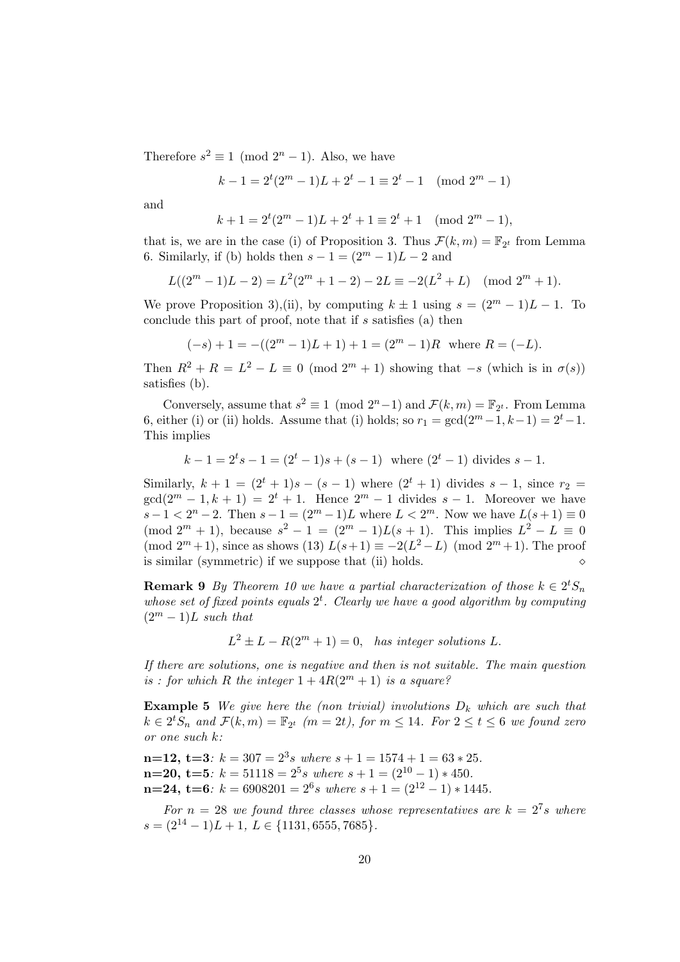Therefore  $s^2 \equiv 1 \pmod{2^n - 1}$ . Also, we have

$$
k - 1 = 2t(2m - 1)L + 2t - 1 \equiv 2t - 1 \pmod{2m - 1}
$$

and

$$
k + 1 = 2t(2m - 1)L + 2t + 1 \equiv 2t + 1 \pmod{2m - 1},
$$

that is, we are in the case (i) of Proposition 3. Thus  $\mathcal{F}(k,m) = \mathbb{F}_{2^t}$  from Lemma 6. Similarly, if (b) holds then  $s - 1 = (2^m - 1)L - 2$  and

$$
L((2m - 1)L - 2) = L2(2m + 1 - 2) - 2L \equiv -2(L2 + L) \pmod{2m + 1}.
$$

We prove Proposition 3),(ii), by computing  $k \pm 1$  using  $s = (2^m - 1)L - 1$ . To conclude this part of proof, note that if s satisfies (a) then

$$
(-s) + 1 = -((2m - 1)L + 1) + 1 = (2m - 1)R
$$
 where  $R = (-L)$ .

Then  $R^2 + R = L^2 - L \equiv 0 \pmod{2^m + 1}$  showing that  $-s$  (which is in  $\sigma(s)$ ) satisfies (b).

Conversely, assume that  $s^2 \equiv 1 \pmod{2^n-1}$  and  $\mathcal{F}(k,m) = \mathbb{F}_{2^t}$ . From Lemma 6, either (i) or (ii) holds. Assume that (i) holds; so  $r_1 = \gcd(2^m-1, k-1) = 2^t-1$ . This implies

$$
k-1 = 2^t s - 1 = (2^t - 1)s + (s - 1)
$$
 where  $(2^t - 1)$  divides  $s - 1$ .

Similarly,  $k + 1 = (2^{t} + 1)s - (s - 1)$  where  $(2^{t} + 1)$  divides  $s - 1$ , since  $r_2 =$  $gcd(2^m - 1, k + 1) = 2^t + 1$ . Hence  $2^m - 1$  divides  $s - 1$ . Moreover we have  $s-1 < 2^{n} - 2$ . Then  $s-1 = (2^{m} - 1)L$  where  $L < 2^{m}$ . Now we have  $L(s+1) \equiv 0$  $\pmod{2^m+1}$ , because  $s^2 - 1 = (2^m - 1)L(s + 1)$ . This implies  $L^2 - L \equiv 0$ (mod  $2^m + 1$ ), since as shows (13)  $L(s+1) \equiv -2(L^2 - L) \pmod{2^m + 1}$ . The proof is similar (symmetric) if we suppose that (ii) holds.

**Remark 9** By Theorem 10 we have a partial characterization of those  $k \in 2^t S_n$ whose set of fixed points equals  $2^t$ . Clearly we have a good algorithm by computing  $(2^m - 1)L$  such that

 $L^2 \pm L - R(2^m + 1) = 0$ , has integer solutions L.

If there are solutions, one is negative and then is not suitable. The main question is : for which R the integer  $1 + 4R(2^m + 1)$  is a square?

**Example 5** We give here the (non trivial) involutions  $D_k$  which are such that  $k \in 2^t S_n$  and  $\mathcal{F}(k,m) = \mathbb{F}_{2^t}$   $(m = 2t)$ , for  $m \leq 14$ . For  $2 \leq t \leq 6$  we found zero or one such k:

 $n=12, t=3: k=307 = 2^3 s$  where  $s+1=1574+1=63*25$ .  $n=20, t=5: k=51118 = 2^5 s$  where  $s+1 = (2^{10} - 1) * 450$ .  $n=24, t=6: k=6908201 = 2^6 s$  where  $s+1 = (2^{12}-1)*1445$ .

For  $n = 28$  we found three classes whose representatives are  $k = 2^7 s$  where  $s = (2^{14} - 1)L + 1, L \in \{1131, 6555, 7685\}.$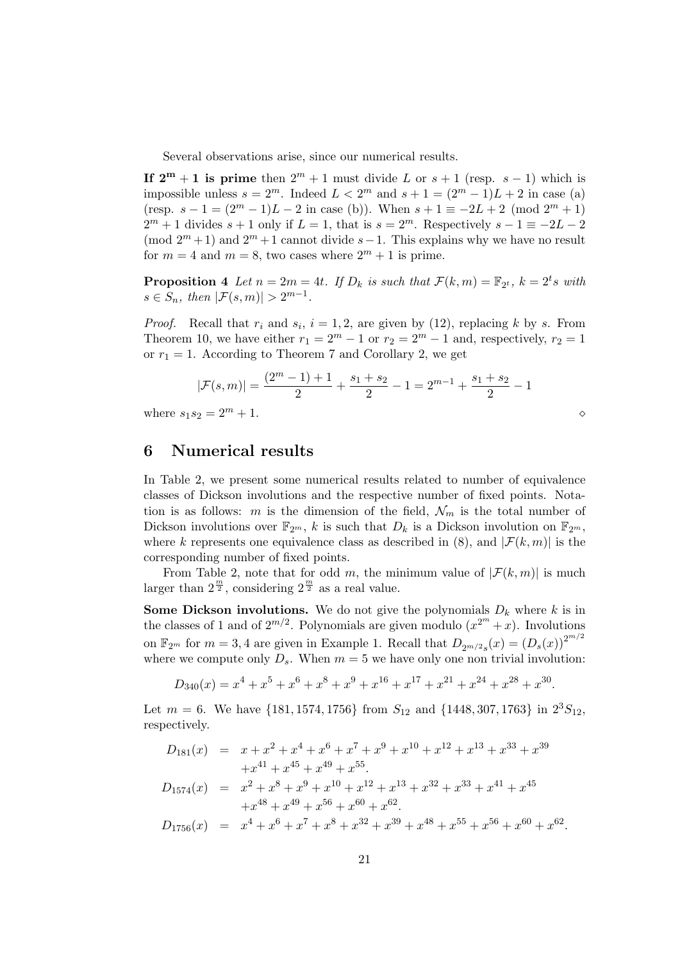Several observations arise, since our numerical results.

If  $2^m + 1$  is prime then  $2^m + 1$  must divide L or  $s + 1$  (resp.  $s - 1$ ) which is impossible unless  $s = 2^m$ . Indeed  $L < 2^m$  and  $s + 1 = (2^m - 1)L + 2$  in case (a) (resp.  $s - 1 = (2^m - 1)L - 2$  in case (b)). When  $s + 1 \equiv -2L + 2 \pmod{2^m + 1}$  $2^m + 1$  divides  $s + 1$  only if  $L = 1$ , that is  $s = 2^m$ . Respectively  $s - 1 \equiv -2L - 2$ (mod  $2^m + 1$ ) and  $2^m + 1$  cannot divide s – 1. This explains why we have no result for  $m = 4$  and  $m = 8$ , two cases where  $2^m + 1$  is prime.

**Proposition 4** Let  $n = 2m = 4t$ . If  $D_k$  is such that  $\mathcal{F}(k,m) = \mathbb{F}_{2^t}$ ,  $k = 2^t s$  with  $s \in S_n$ , then  $|\mathcal{F}(s,m)| > 2^{m-1}$ .

*Proof.* Recall that  $r_i$  and  $s_i$ ,  $i = 1, 2$ , are given by (12), replacing k by s. From Theorem 10, we have either  $r_1 = 2^m - 1$  or  $r_2 = 2^m - 1$  and, respectively,  $r_2 = 1$ or  $r_1 = 1$ . According to Theorem 7 and Corollary 2, we get

$$
|\mathcal{F}(s,m)| = \frac{(2^m - 1) + 1}{2} + \frac{s_1 + s_2}{2} - 1 = 2^{m-1} + \frac{s_1 + s_2}{2} - 1
$$

where  $s_1 s_2 = 2^m + 1$ .

### 6 Numerical results

In Table 2, we present some numerical results related to number of equivalence classes of Dickson involutions and the respective number of fixed points. Notation is as follows: m is the dimension of the field,  $\mathcal{N}_m$  is the total number of Dickson involutions over  $\mathbb{F}_{2^m}$ , k is such that  $D_k$  is a Dickson involution on  $\mathbb{F}_{2^m}$ , where k represents one equivalence class as described in (8), and  $|\mathcal{F}(k, m)|$  is the corresponding number of fixed points.

From Table 2, note that for odd m, the minimum value of  $|\mathcal{F}(k,m)|$  is much larger than  $2^{\frac{m}{2}}$ , considering  $2^{\frac{m}{2}}$  as a real value.

**Some Dickson involutions.** We do not give the polynomials  $D_k$  where k is in the classes of 1 and of  $2^{m/2}$ . Polynomials are given modulo  $(x^{2^m} + x)$ . Involutions on  $\mathbb{F}_{2^m}$  for  $m = 3, 4$  are given in Example 1. Recall that  $D_{2^{m/2}s}(x) = (D_s(x))^{2^{m/2}}$ where we compute only  $D_s$ . When  $m = 5$  we have only one non trivial involution:

$$
D_{340}(x) = x^4 + x^5 + x^6 + x^8 + x^9 + x^{16} + x^{17} + x^{21} + x^{24} + x^{28} + x^{30}.
$$

Let  $m = 6$ . We have  $\{181, 1574, 1756\}$  from  $S_{12}$  and  $\{1448, 307, 1763\}$  in  $2^3S_{12}$ , respectively.

$$
D_{181}(x) = x + x2 + x4 + x6 + x7 + x9 + x10 + x12 + x13 + x33 + x39
$$
  
+x<sup>41</sup> + x<sup>45</sup> + x<sup>49</sup> + x<sup>55</sup>.  

$$
D_{1574}(x) = x2 + x8 + x9 + x10 + x12 + x13 + x32 + x33 + x41 + x45
$$
  
+x<sup>48</sup> + x<sup>49</sup> + x<sup>56</sup> + x<sup>60</sup> + x<sup>62</sup>.  

$$
D_{1756}(x) = x4 + x6 + x7 + x8 + x32 + x39 + x48 + x55 + x56 + x60 + x62.
$$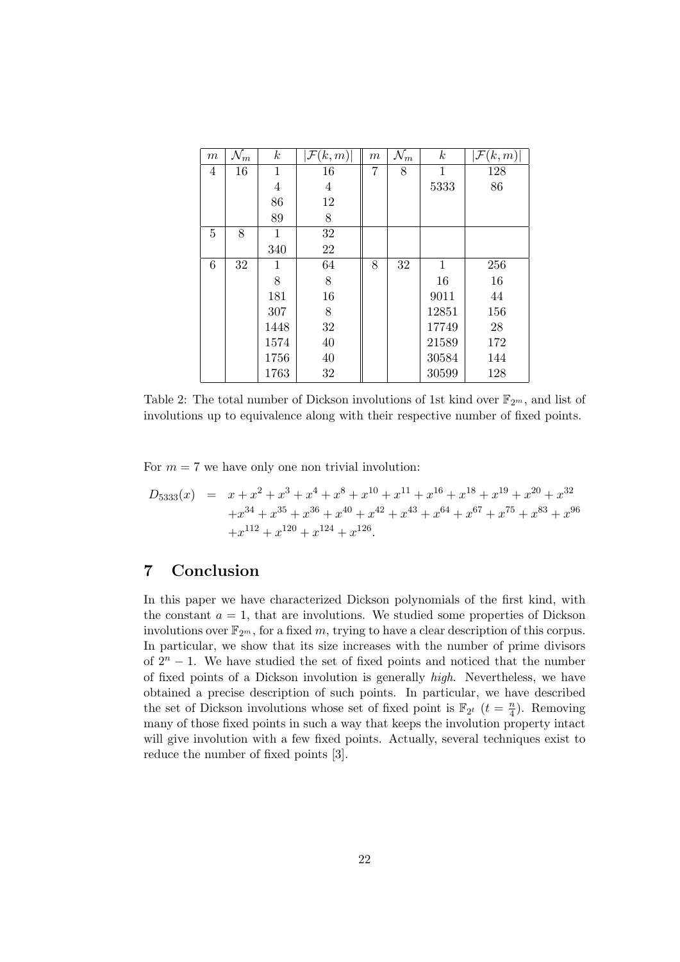| $\,m$ | $\mathcal{N}_m$ | $\boldsymbol{k}$ | $\mathcal{F}(k,m)$ | $\,m$ | $\mathcal{N}_m$ | $\,k$ | $ \mathcal{F}(k,m) $ |
|-------|-----------------|------------------|--------------------|-------|-----------------|-------|----------------------|
| 4     | 16              | 1                | 16                 | 7     | 8               | 1     | 128                  |
|       |                 | 4                | 4                  |       |                 | 5333  | 86                   |
|       |                 | 86               | 12                 |       |                 |       |                      |
|       |                 | 89               | 8                  |       |                 |       |                      |
| 5     | 8               | 1                | 32                 |       |                 |       |                      |
|       |                 | 340              | 22                 |       |                 |       |                      |
| 6     | 32              | 1                | 64                 | 8     | 32              | 1     | 256                  |
|       |                 | 8                | 8                  |       |                 | 16    | 16                   |
|       |                 | 181              | 16                 |       |                 | 9011  | 44                   |
|       |                 | 307              | 8                  |       |                 | 12851 | 156                  |
|       |                 | 1448             | 32                 |       |                 | 17749 | 28                   |
|       |                 | 1574             | 40                 |       |                 | 21589 | 172                  |
|       |                 | 1756             | 40                 |       |                 | 30584 | 144                  |
|       |                 | 1763             | 32                 |       |                 | 30599 | 128                  |

Table 2: The total number of Dickson involutions of 1st kind over  $\mathbb{F}_{2^m}$ , and list of involutions up to equivalence along with their respective number of fixed points.

For  $m = 7$  we have only one non trivial involution:

$$
D_{5333}(x) = x + x2 + x3 + x4 + x8 + x10 + x11 + x16 + x18 + x19 + x20 + x32+ x34 + x35 + x36 + x40 + x42 + x43 + x64 + x67 + x75 + x83 + x96+ x112 + x120 + x124 + x126.
$$

# 7 Conclusion

In this paper we have characterized Dickson polynomials of the first kind, with the constant  $a = 1$ , that are involutions. We studied some properties of Dickson involutions over  $\mathbb{F}_{2^m}$ , for a fixed m, trying to have a clear description of this corpus. In particular, we show that its size increases with the number of prime divisors of  $2^n - 1$ . We have studied the set of fixed points and noticed that the number of fixed points of a Dickson involution is generally high. Nevertheless, we have obtained a precise description of such points. In particular, we have described the set of Dickson involutions whose set of fixed point is  $\mathbb{F}_{2^t}$   $(t = \frac{n}{4})$  $\frac{n}{4}$ ). Removing many of those fixed points in such a way that keeps the involution property intact will give involution with a few fixed points. Actually, several techniques exist to reduce the number of fixed points [3].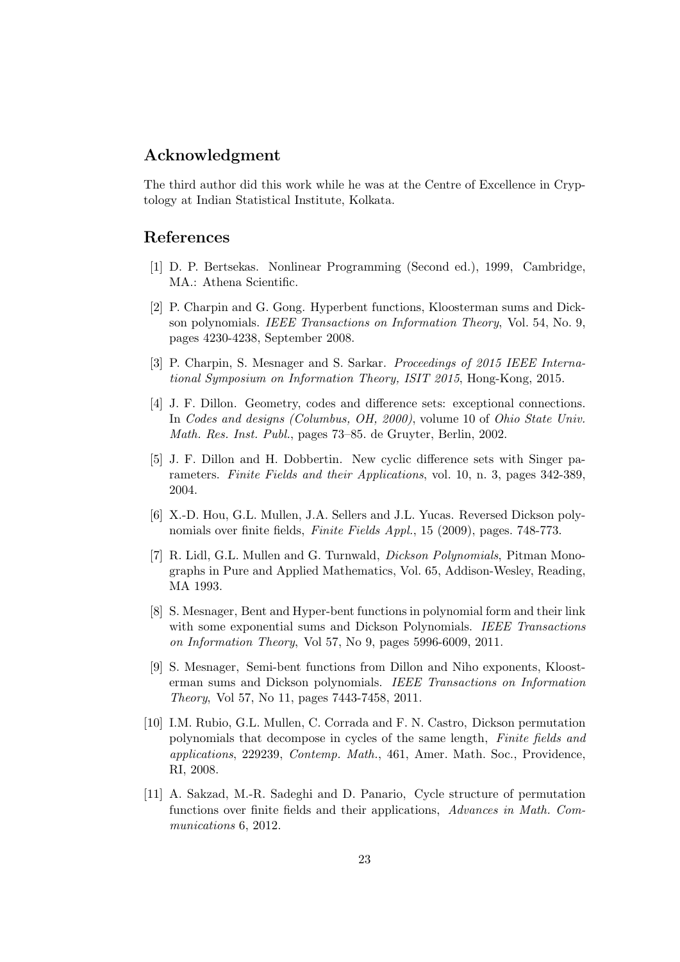# Acknowledgment

The third author did this work while he was at the Centre of Excellence in Cryptology at Indian Statistical Institute, Kolkata.

## References

- [1] D. P. Bertsekas. Nonlinear Programming (Second ed.), 1999, Cambridge, MA.: Athena Scientific.
- [2] P. Charpin and G. Gong. Hyperbent functions, Kloosterman sums and Dickson polynomials. IEEE Transactions on Information Theory, Vol. 54, No. 9, pages 4230-4238, September 2008.
- [3] P. Charpin, S. Mesnager and S. Sarkar. Proceedings of 2015 IEEE International Symposium on Information Theory, ISIT 2015, Hong-Kong, 2015.
- [4] J. F. Dillon. Geometry, codes and difference sets: exceptional connections. In Codes and designs (Columbus, OH, 2000), volume 10 of Ohio State Univ. Math. Res. Inst. Publ., pages 73–85. de Gruyter, Berlin, 2002.
- [5] J. F. Dillon and H. Dobbertin. New cyclic difference sets with Singer parameters. Finite Fields and their Applications, vol. 10, n. 3, pages 342-389, 2004.
- [6] X.-D. Hou, G.L. Mullen, J.A. Sellers and J.L. Yucas. Reversed Dickson polynomials over finite fields, Finite Fields Appl., 15 (2009), pages. 748-773.
- [7] R. Lidl, G.L. Mullen and G. Turnwald, Dickson Polynomials, Pitman Monographs in Pure and Applied Mathematics, Vol. 65, Addison-Wesley, Reading, MA 1993.
- [8] S. Mesnager, Bent and Hyper-bent functions in polynomial form and their link with some exponential sums and Dickson Polynomials. IEEE Transactions on Information Theory, Vol 57, No 9, pages 5996-6009, 2011.
- [9] S. Mesnager, Semi-bent functions from Dillon and Niho exponents, Kloosterman sums and Dickson polynomials. IEEE Transactions on Information Theory, Vol 57, No 11, pages 7443-7458, 2011.
- [10] I.M. Rubio, G.L. Mullen, C. Corrada and F. N. Castro, Dickson permutation polynomials that decompose in cycles of the same length, Finite fields and applications, 229239, Contemp. Math., 461, Amer. Math. Soc., Providence, RI, 2008.
- [11] A. Sakzad, M.-R. Sadeghi and D. Panario, Cycle structure of permutation functions over finite fields and their applications, Advances in Math. Communications 6, 2012.